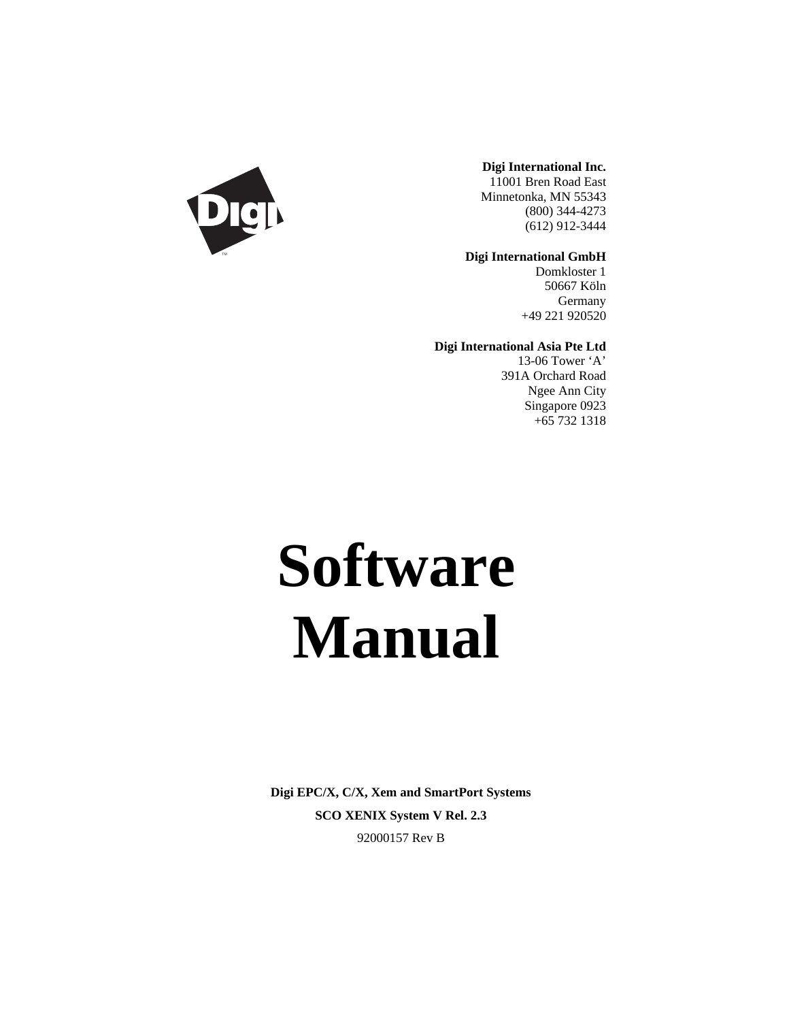

### **Digi International Inc.**

11001 Bren Road East Minnetonka, MN 55343 (800) 344-4273 (612) 912-3444

**Digi International GmbH**

Domkloster 1 50667 Köln Germany +49 221 920520

**Digi International Asia Pte Ltd**

13-06 Tower 'A' 391A Orchard Road Ngee Ann City Singapore 0923 +65 732 1318

# **Software Manual**

**Digi EPC/X, C/X, Xem and SmartPort Systems SCO XENIX System V Rel. 2.3** 92000157 Rev B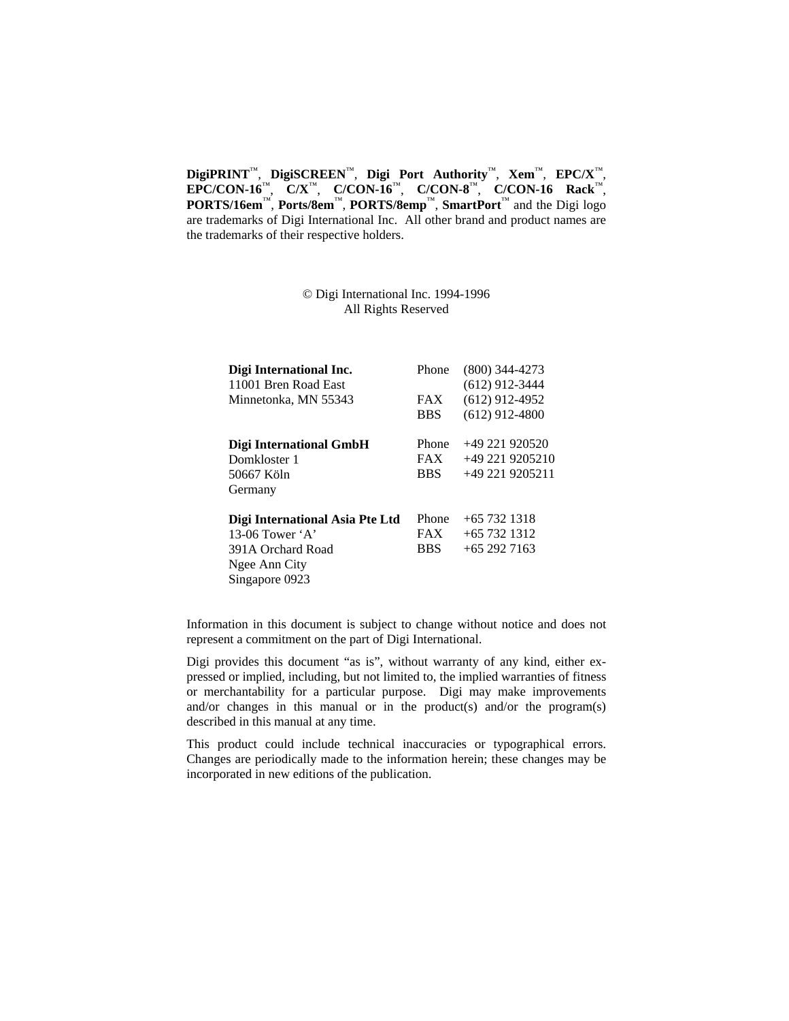**DigiPRINT**™, **DigiSCREEN**™, **Digi Port Authority**™, **Xem**™, **EPC/X**™, **EPC/CON-16**™, **C/X**™, **C/CON-16**™, **C/CON-8**™, **C/CON-16 Rack**™, **PORTS/16em**™, **Ports/8em**™, **PORTS/8emp**™, **SmartPort**™ and the Digi logo are trademarks of Digi International Inc. All other brand and product names are the trademarks of their respective holders.

> © Digi International Inc. 1994-1996 All Rights Reserved

| Phone      | $(800)$ 344-4273 |
|------------|------------------|
|            | $(612)$ 912-3444 |
| <b>FAX</b> | $(612)$ 912-4952 |
| <b>BBS</b> | $(612)$ 912-4800 |
| Phone      | $+49221920520$   |
| <b>FAX</b> | +49 221 9205210  |
| <b>BBS</b> | +49 221 9205211  |
|            |                  |
| Phone      | $+65$ 732 1318   |
| <b>FAX</b> | $+65$ 732 1312   |
| <b>BBS</b> | $+652927163$     |
|            |                  |
|            |                  |
|            |                  |

Information in this document is subject to change without notice and does not represent a commitment on the part of Digi International.

Digi provides this document "as is", without warranty of any kind, either expressed or implied, including, but not limited to, the implied warranties of fitness or merchantability for a particular purpose. Digi may make improvements and/or changes in this manual or in the product(s) and/or the program(s) described in this manual at any time.

This product could include technical inaccuracies or typographical errors. Changes are periodically made to the information herein; these changes may be incorporated in new editions of the publication.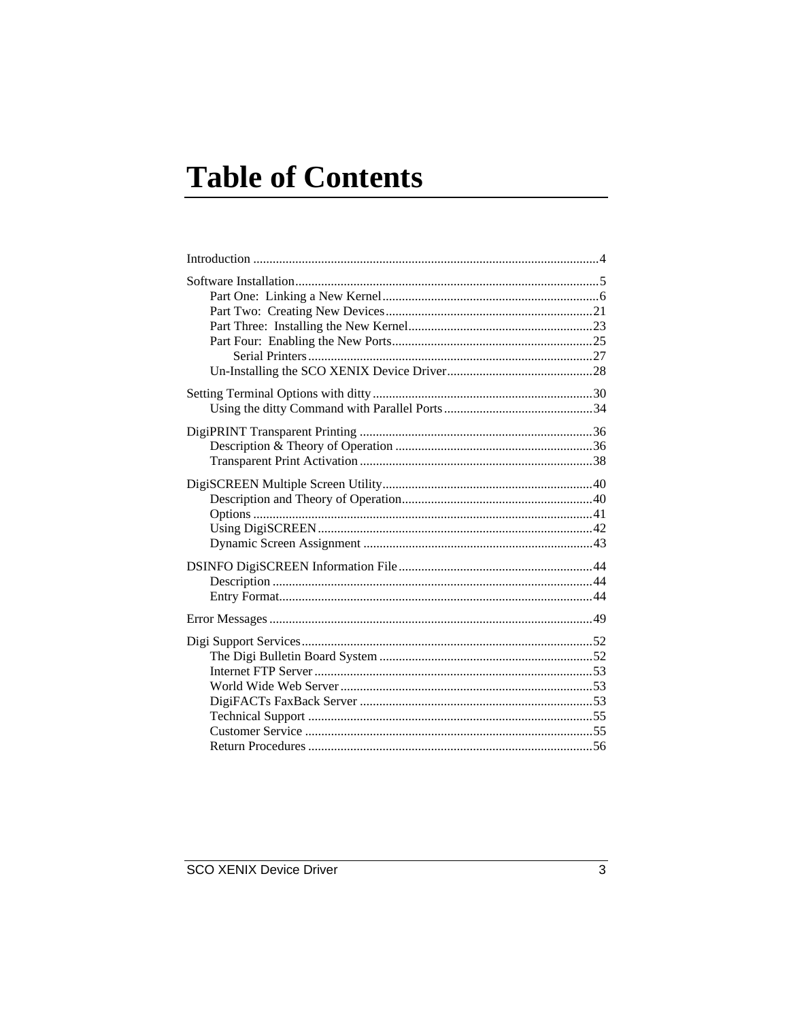# **Table of Contents**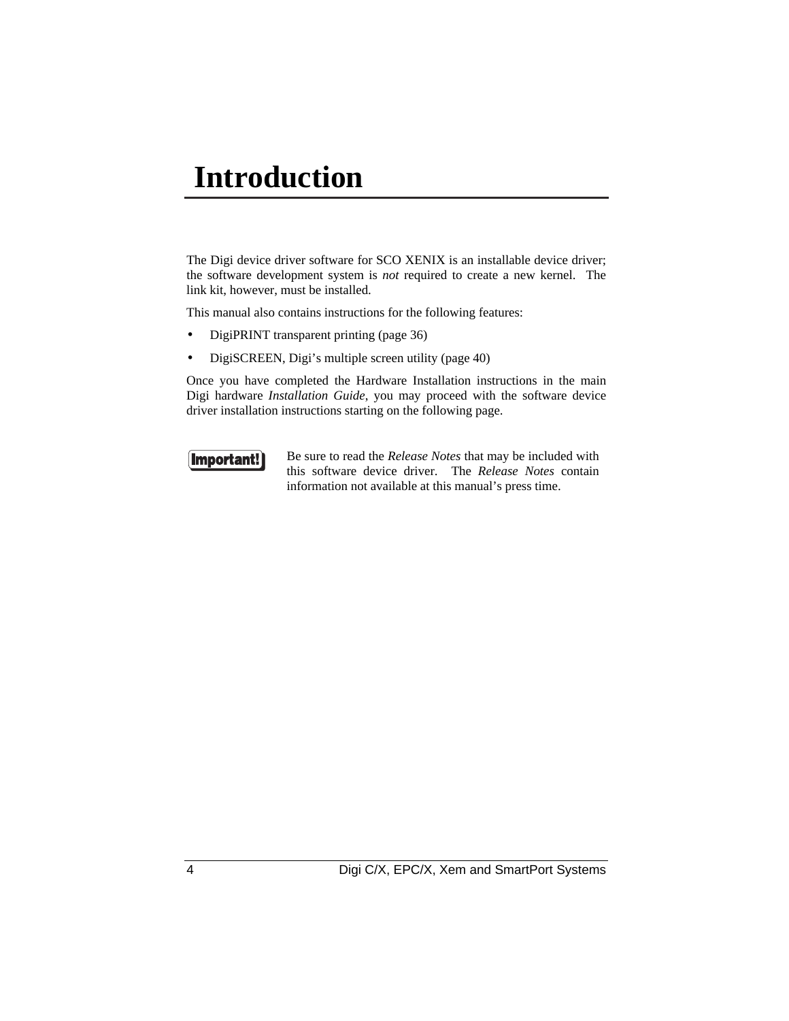# **Introduction**

The Digi device driver software for SCO XENIX is an installable device driver; the software development system is *not* required to create a new kernel. The link kit, however, must be installed.

This manual also contains instructions for the following features:

- DigiPRINT transparent printing (page 36)
- DigiSCREEN, Digi's multiple screen utility (page 40)

Once you have completed the Hardware Installation instructions in the main Digi hardware *Installation Guide*, you may proceed with the software device driver installation instructions starting on the following page.



Be sure to read the *Release Notes* that may be included with this software device driver. The *Release Notes* contain information not available at this manual's press time.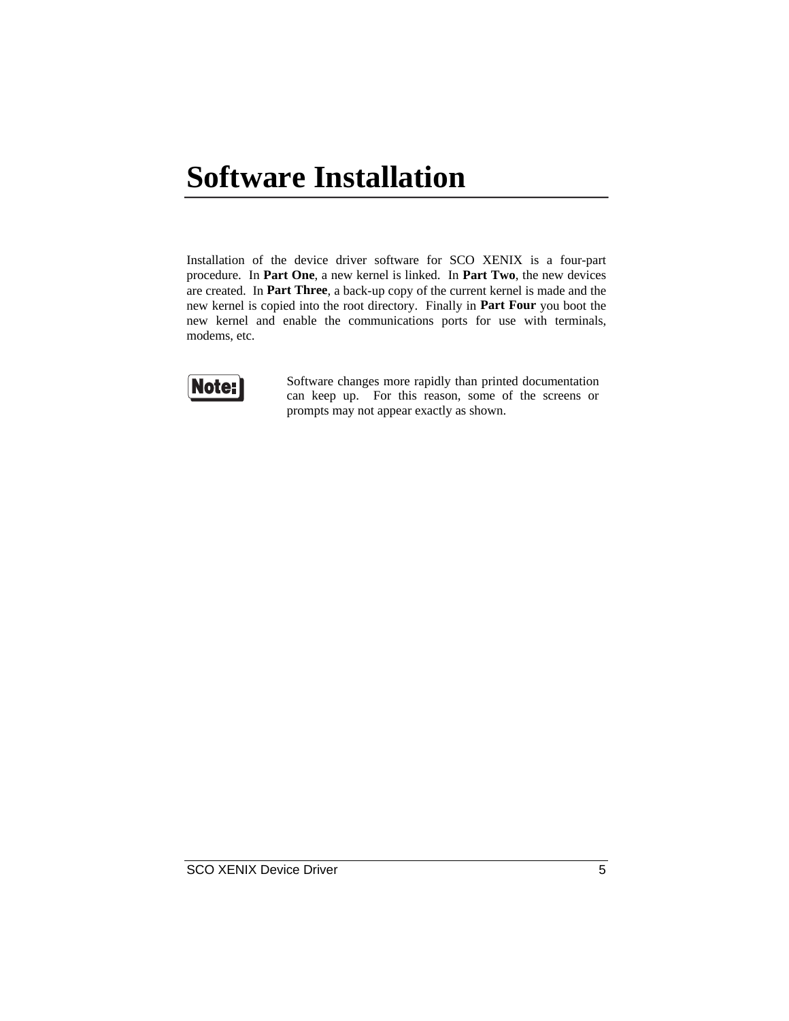# **Software Installation**

Installation of the device driver software for SCO XENIX is a four-part procedure. In **Part One**, a new kernel is linked. In **Part Two**, the new devices are created. In **Part Three**, a back-up copy of the current kernel is made and the new kernel is copied into the root directory. Finally in **Part Four** you boot the new kernel and enable the communications ports for use with terminals, modems, etc.



Software changes more rapidly than printed documentation can keep up. For this reason, some of the screens or prompts may not appear exactly as shown.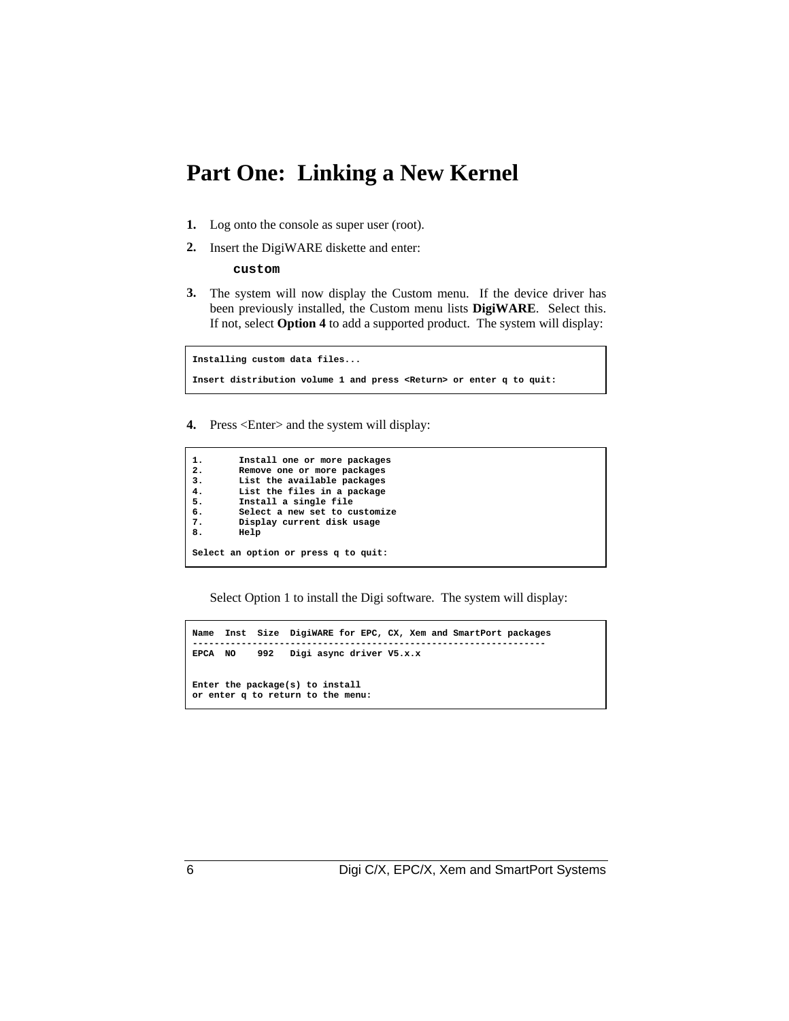### **Part One: Linking a New Kernel**

- **1.** Log onto the console as super user (root).
- **2.** Insert the DigiWARE diskette and enter:

**custom**

**3.** The system will now display the Custom menu. If the device driver has been previously installed, the Custom menu lists **DigiWARE**. Select this. If not, select **Option 4** to add a supported product. The system will display:

**Installing custom data files... Insert distribution volume 1 and press <Return> or enter q to quit:**

**4.** Press <Enter> and the system will display:

```
1. Install one or more packages
2. Remove one or more packages
       3. List the available packages
4. List the files in a package
5. Install a single file
6. Select a new set to customize
       7. Display current disk usage
8. Help
Select an option or press q to quit:
```
Select Option 1 to install the Digi software. The system will display:

```
Name Inst Size DigiWARE for EPC, CX, Xem and SmartPort packages
-----------------------------------------------------------------
          EPCA NO 992 Digi async driver V5.x.x
Enter the package(s) to install
or enter q to return to the menu:
```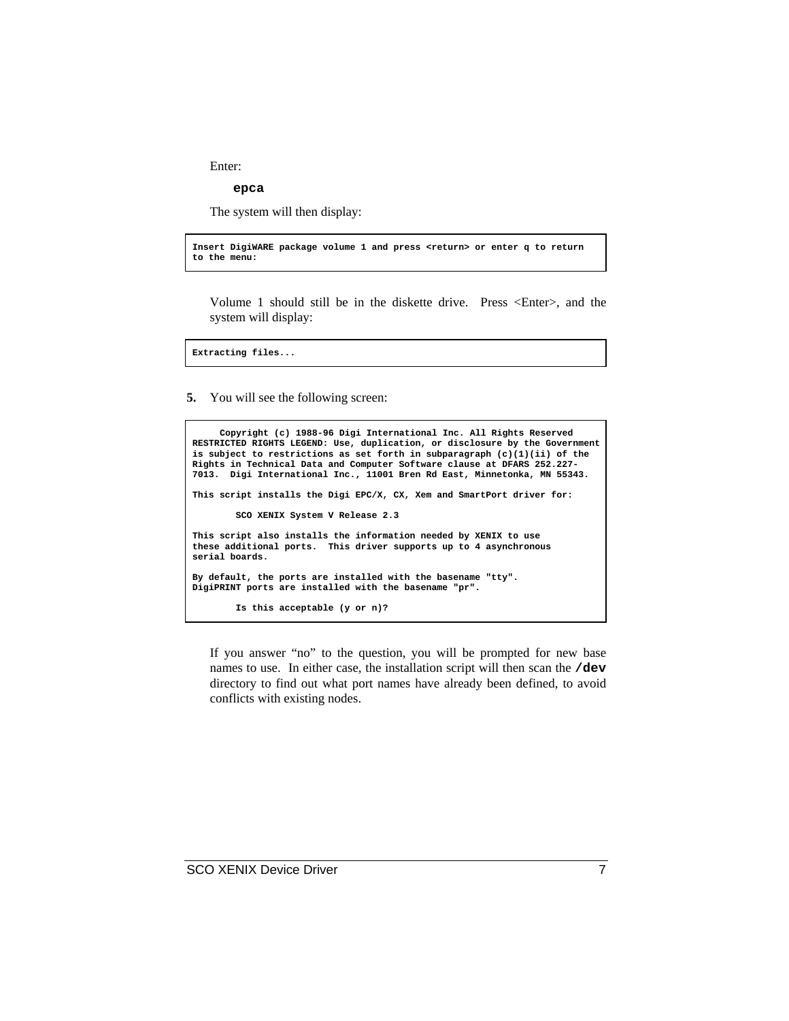Enter:

**epca**

The system will then display:

**Insert DigiWARE package volume 1 and press <return> or enter q to return to the menu:**

Volume 1 should still be in the diskette drive. Press <Enter>, and the system will display:

**Extracting files...**

**5.** You will see the following screen:

```
Copyright (c) 1988-96 Digi International Inc. All Rights Reserved
RESTRICTED RIGHTS LEGEND: Use, duplication, or disclosure by the Government
is subject to restrictions as set forth in subparagraph (c)(1)(ii) of the
Rights in Technical Data and Computer Software clause at DFARS 252.227-
7013. Digi International Inc., 11001 Bren Rd East, Minnetonka, MN 55343.
This script installs the Digi EPC/X, CX, Xem and SmartPort driver for:
         SCO XENIX System V Release 2.3
This script also installs the information needed by XENIX to use
these additional ports. This driver supports up to 4 asynchronous
serial boards.
By default, the ports are installed with the basename "tty".
DigiPRINT ports are installed with the basename "pr".
         Is this acceptable (y or n)?
```
If you answer "no" to the question, you will be prompted for new base names to use. In either case, the installation script will then scan the **/dev** directory to find out what port names have already been defined, to avoid conflicts with existing nodes.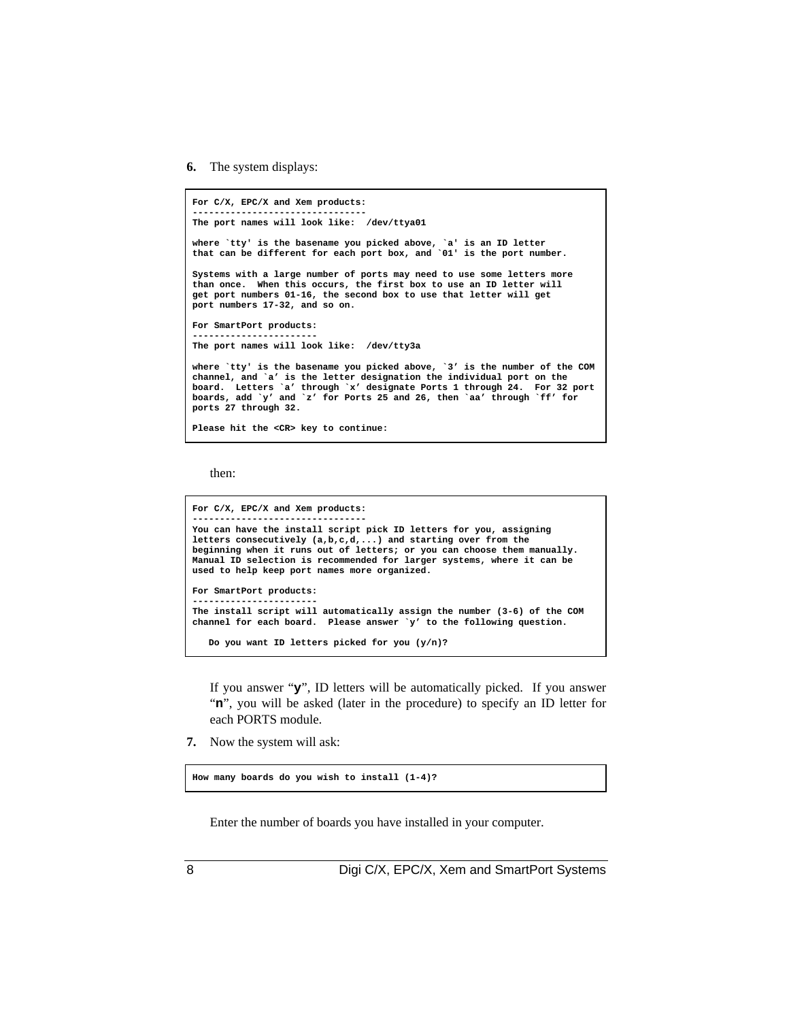**6.** The system displays:

```
For C/X, EPC/X and Xem products:
--------------------------------
The port names will look like: /dev/ttya01
where `tty' is the basename you picked above, `a' is an ID letter
that can be different for each port box, and `01' is the port number.
Systems with a large number of ports may need to use some letters more
than once. When this occurs, the first box to use an ID letter will
get port numbers 01-16, the second box to use that letter will get
port numbers 17-32, and so on.
For SmartPort products:
-----------------------
The port names will look like: /dev/tty3a
where `tty' is the basename you picked above, `3' is the number of the COM
channel, and `a' is the letter designation the individual port on the
board. Letters `a' through `x' designate Ports 1 through 24. For 32 port
boards, add `y' and `z' for Ports 25 and 26, then `aa' through `ff' for
ports 27 through 32.
Please hit the <CR> key to continue:
```
then:

```
For C/X, EPC/X and Xem products:
--------------------------------
You can have the install script pick ID letters for you, assigning
letters consecutively (a,b,c,d,...) and starting over from the
beginning when it runs out of letters; or you can choose them manually.
Manual ID selection is recommended for larger systems, where it can be
used to help keep port names more organized.
For SmartPort products:
   -----------------------
The install script will automatically assign the number (3-6) of the COM
channel for each board. Please answer `y' to the following question.
    Do you want ID letters picked for you (y/n)?
```
If you answer "**y**", ID letters will be automatically picked. If you answer "**n**", you will be asked (later in the procedure) to specify an ID letter for each PORTS module.

**7.** Now the system will ask:

**How many boards do you wish to install (1-4)?**

Enter the number of boards you have installed in your computer.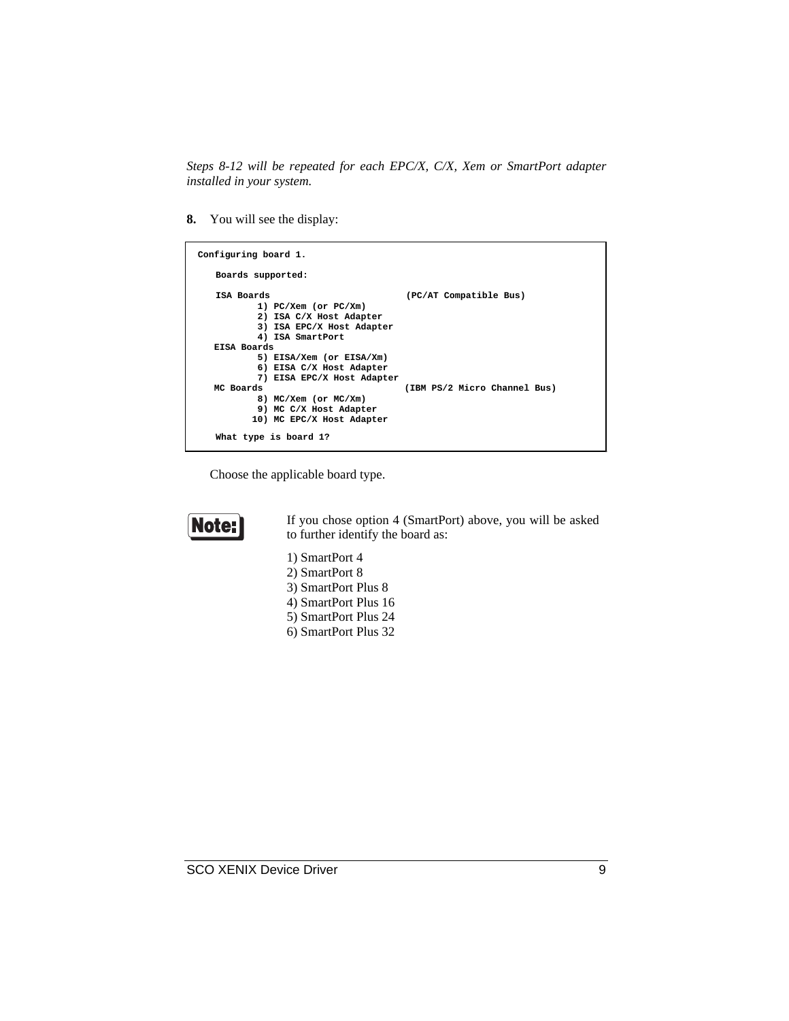*Steps 8-12 will be repeated for each EPC/X, C/X, Xem or SmartPort adapter installed in your system.*

**8.** You will see the display:

| Configuring board 1.                                                                                                                                                                          |                              |
|-----------------------------------------------------------------------------------------------------------------------------------------------------------------------------------------------|------------------------------|
| Boards supported:                                                                                                                                                                             |                              |
| ISA Boards<br>1) PC/Xem (or PC/Xm)<br>2) ISA C/X Host Adapter<br>3) ISA EPC/X Host Adapter<br>4) ISA SmartPort                                                                                | (PC/AT Compatible Bus)       |
| EISA Boards<br>5) EISA/Xem (or EISA/Xm)<br>6) EISA C/X Host Adapter<br>7) EISA EPC/X Host Adapter<br>MC Boards<br>8) MC/Xem (or MC/Xm)<br>9) MC C/X Host Adapter<br>10) MC EPC/X Host Adapter | (IBM PS/2 Micro Channel Bus) |
| What type is board 1?                                                                                                                                                                         |                              |

Choose the applicable board type.



If you chose option 4 (SmartPort) above, you will be asked to further identify the board as:

- 1) SmartPort 4 2) SmartPort 8
- 
- 3) SmartPort Plus 8
- 4) SmartPort Plus 16 5) SmartPort Plus 24
- 6) SmartPort Plus 32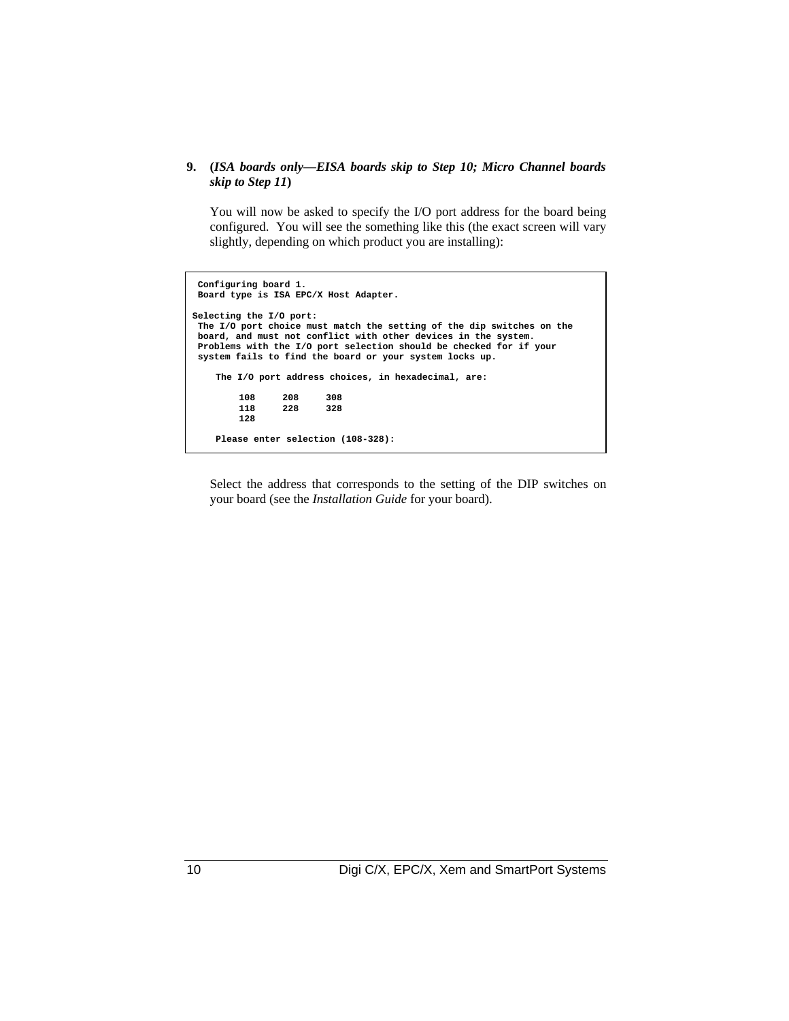### **9. (***ISA boards only—EISA boards skip to Step 10; Micro Channel boards skip to Step 11***)**

You will now be asked to specify the I/O port address for the board being configured. You will see the something like this (the exact screen will vary slightly, depending on which product you are installing):

```
 Configuring board 1.
 Board type is ISA EPC/X Host Adapter.
Selecting the I/O port:
 The I/O port choice must match the setting of the dip switches on the
 board, and must not conflict with other devices in the system.
 Problems with the I/O port selection should be checked for if your
 system fails to find the board or your system locks up.
    The I/O port address choices, in hexadecimal, are:
        108 208 308
                 118 228 328
        128
    Please enter selection (108-328):
```
Select the address that corresponds to the setting of the DIP switches on your board (see the *Installation Guide* for your board).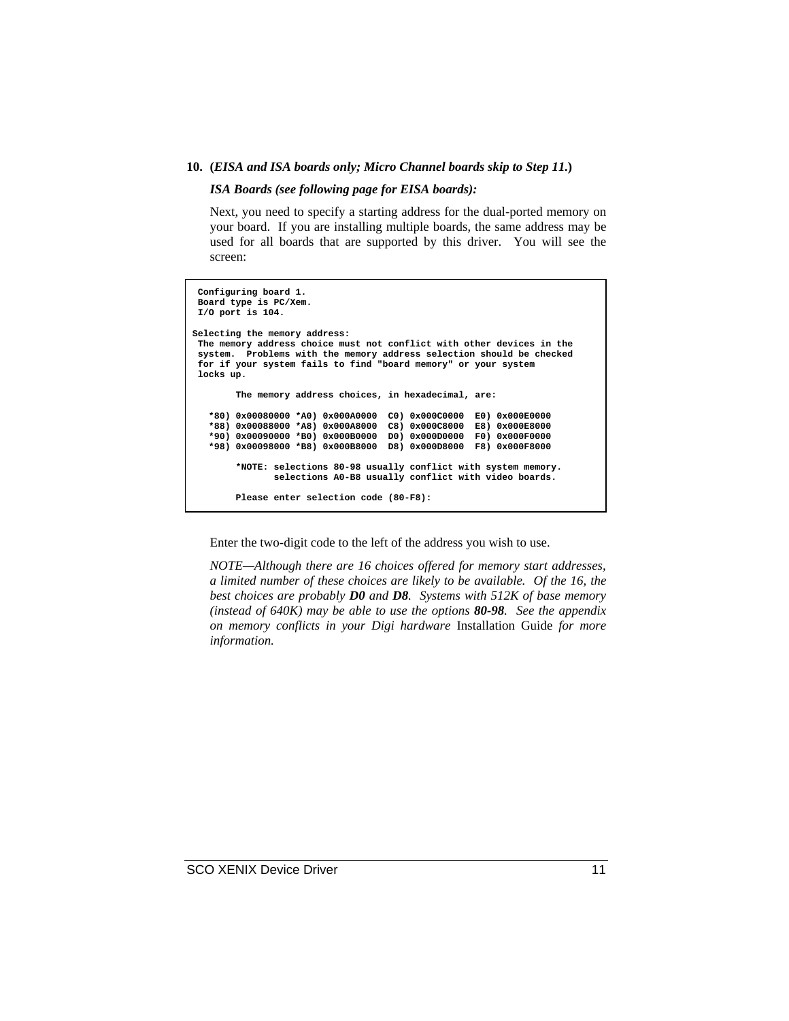#### **10. (***EISA and ISA boards only; Micro Channel boards skip to Step 11.***)**

*ISA Boards (see following page for EISA boards):*

Next, you need to specify a starting address for the dual-ported memory on your board. If you are installing multiple boards, the same address may be used for all boards that are supported by this driver. You will see the screen:

```
 Configuring board 1.
  Board type is PC/Xem.
 I/O port is 104.
Selecting the memory address:
 The memory address choice must not conflict with other devices in the
  system. Problems with the memory address selection should be checked
  for if your system fails to find "board memory" or your system
  locks up.
         The memory address choices, in hexadecimal, are:
    *80) 0x00080000 *A0) 0x000A0000 C0) 0x000C0000 E0) 0x000E0000
    *88) 0x00088000 *A8) 0x000A8000 C8) 0x000C8000 E8) 0x000E8000
    *90) 0x00090000 *B0) 0x000B0000 D0) 0x000D0000 F0) 0x000F0000
    *98) 0x00098000 *B8) 0x000B8000 D8) 0x000D8000 F8) 0x000F8000
         *NOTE: selections 80-98 usually conflict with system memory.
                selections A0-B8 usually conflict with video boards.
        Please enter selection code (80-F8):
```
Enter the two-digit code to the left of the address you wish to use.

*NOTE—Although there are 16 choices offered for memory start addresses, a limited number of these choices are likely to be available. Of the 16, the best choices are probably D0 and D8. Systems with 512K of base memory (instead of 640K) may be able to use the options 80-98. See the appendix on memory conflicts in your Digi hardware* Installation Guide *for more information.*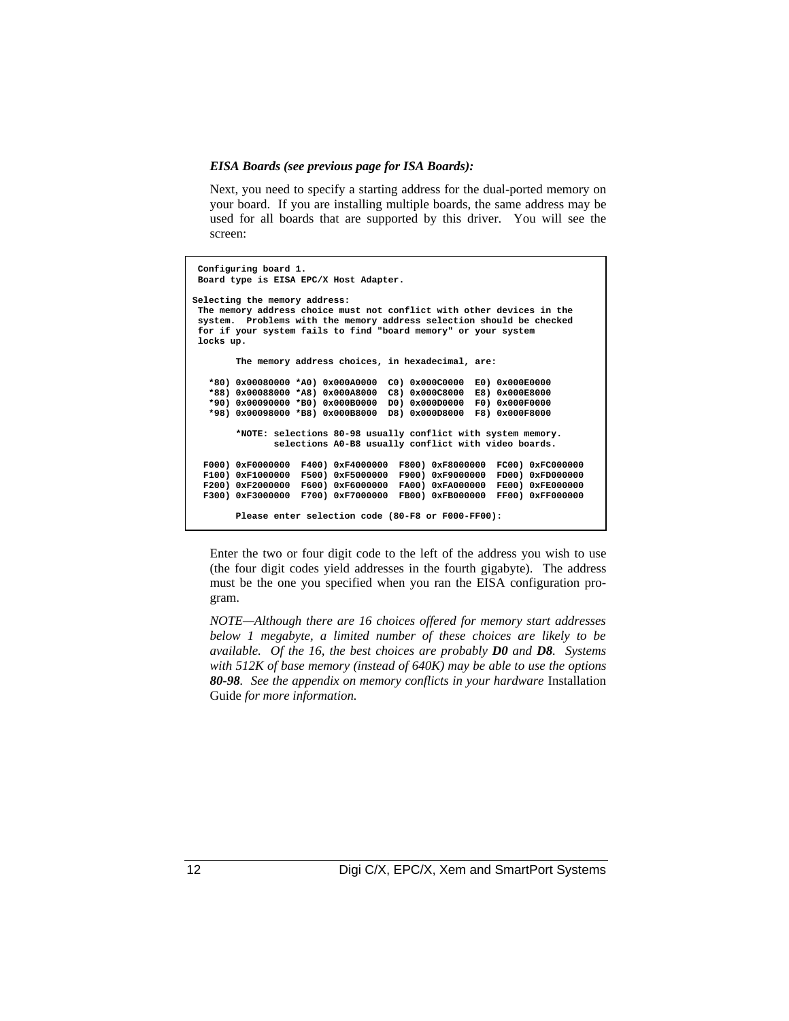#### *EISA Boards (see previous page for ISA Boards):*

Next, you need to specify a starting address for the dual-ported memory on your board. If you are installing multiple boards, the same address may be used for all boards that are supported by this driver. You will see the screen:

 **Configuring board 1. Board type is EISA EPC/X Host Adapter. Selecting the memory address: The memory address choice must not conflict with other devices in the system. Problems with the memory address selection should be checked for if your system fails to find "board memory" or your system locks up. The memory address choices, in hexadecimal, are: \*80) 0x00080000 \*A0) 0x000A0000 C0) 0x000C0000 E0) 0x000E0000 \*88) 0x00088000 \*A8) 0x000A8000 C8) 0x000C8000 E8) 0x000E8000 \*90) 0x00090000 \*B0) 0x000B0000 D0) 0x000D0000 F0) 0x000F0000 \*98) 0x00098000 \*B8) 0x000B8000 D8) 0x000D8000 F8) 0x000F8000 \*NOTE: selections 80-98 usually conflict with system memory. selections A0-B8 usually conflict with video boards. F000) 0xF0000000 F400) 0xF4000000 F800) 0xF8000000 FC00) 0xFC000000 F100) 0xF1000000 F500) 0xF5000000 F900) 0xF9000000 FD00) 0xFD000000 F200) 0xF2000000 F600) 0xF6000000 FA00) 0xFA000000 FE00) 0xFE000000 F300) 0xF3000000 F700) 0xF7000000 FB00) 0xFB000000 FF00) 0xFF000000 Please enter selection code (80-F8 or F000-FF00):**

Enter the two or four digit code to the left of the address you wish to use (the four digit codes yield addresses in the fourth gigabyte). The address must be the one you specified when you ran the EISA configuration program.

*NOTE—Although there are 16 choices offered for memory start addresses below 1 megabyte, a limited number of these choices are likely to be available. Of the 16, the best choices are probably D0 and D8. Systems with 512K of base memory (instead of 640K) may be able to use the options 80-98. See the appendix on memory conflicts in your hardware* Installation Guide *for more information.*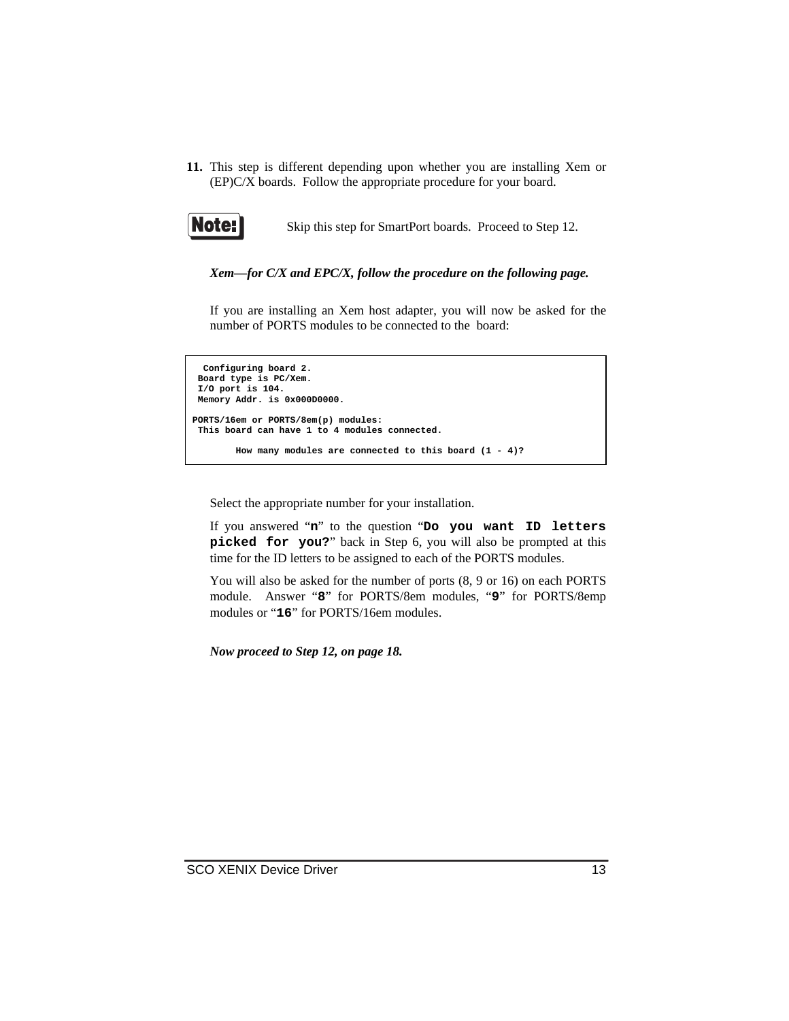**11.** This step is different depending upon whether you are installing Xem or (EP)C/X boards. Follow the appropriate procedure for your board.



Skip this step for SmartPort boards. Proceed to Step 12.

*Xem—for C/X and EPC/X, follow the procedure on the following page.*

If you are installing an Xem host adapter, you will now be asked for the number of PORTS modules to be connected to the board:

```
 Configuring board 2.
 Board type is PC/Xem.
 I/O port is 104.
 Memory Addr. is 0x000D0000.
PORTS/16em or PORTS/8em(p) modules:
 This board can have 1 to 4 modules connected.
         How many modules are connected to this board (1 - 4)?
```
Select the appropriate number for your installation.

If you answered "**n**" to the question "**Do you want ID letters picked for you?**" back in Step 6, you will also be prompted at this time for the ID letters to be assigned to each of the PORTS modules.

You will also be asked for the number of ports (8, 9 or 16) on each PORTS module. Answer "**8**" for PORTS/8em modules, "**9**" for PORTS/8emp modules or "**16**" for PORTS/16em modules.

*Now proceed to Step 12, on page 18.*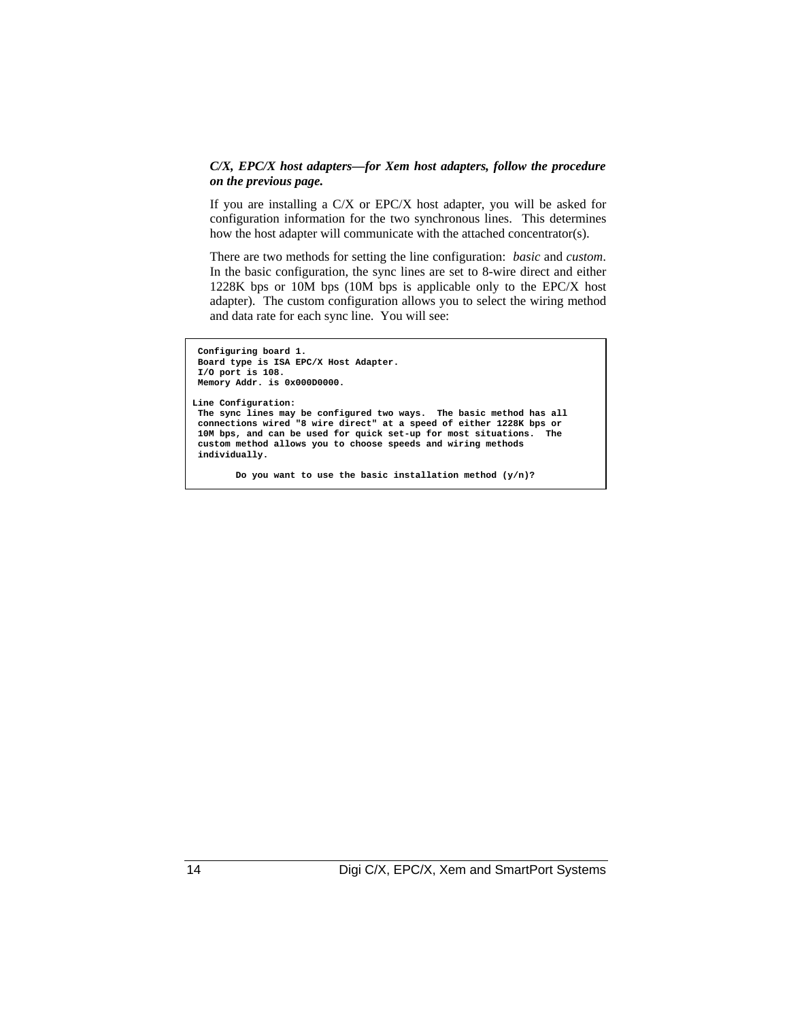#### *C/X, EPC/X host adapters—for Xem host adapters, follow the procedure on the previous page.*

If you are installing a C/X or EPC/X host adapter, you will be asked for configuration information for the two synchronous lines. This determines how the host adapter will communicate with the attached concentrator(s).

There are two methods for setting the line configuration: *basic* and *custom*. In the basic configuration, the sync lines are set to 8-wire direct and either 1228K bps or 10M bps (10M bps is applicable only to the EPC/X host adapter). The custom configuration allows you to select the wiring method and data rate for each sync line. You will see:

```
 Configuring board 1.
 Board type is ISA EPC/X Host Adapter.
 I/O port is 108.
 Memory Addr. is 0x000D0000.
Line Configuration:
 The sync lines may be configured two ways. The basic method has all
  connections wired "8 wire direct" at a speed of either 1228K bps or
 10M bps, and can be used for quick set-up for most situations. The
  custom method allows you to choose speeds and wiring methods
 individually.
```
 **Do you want to use the basic installation method (y/n)?**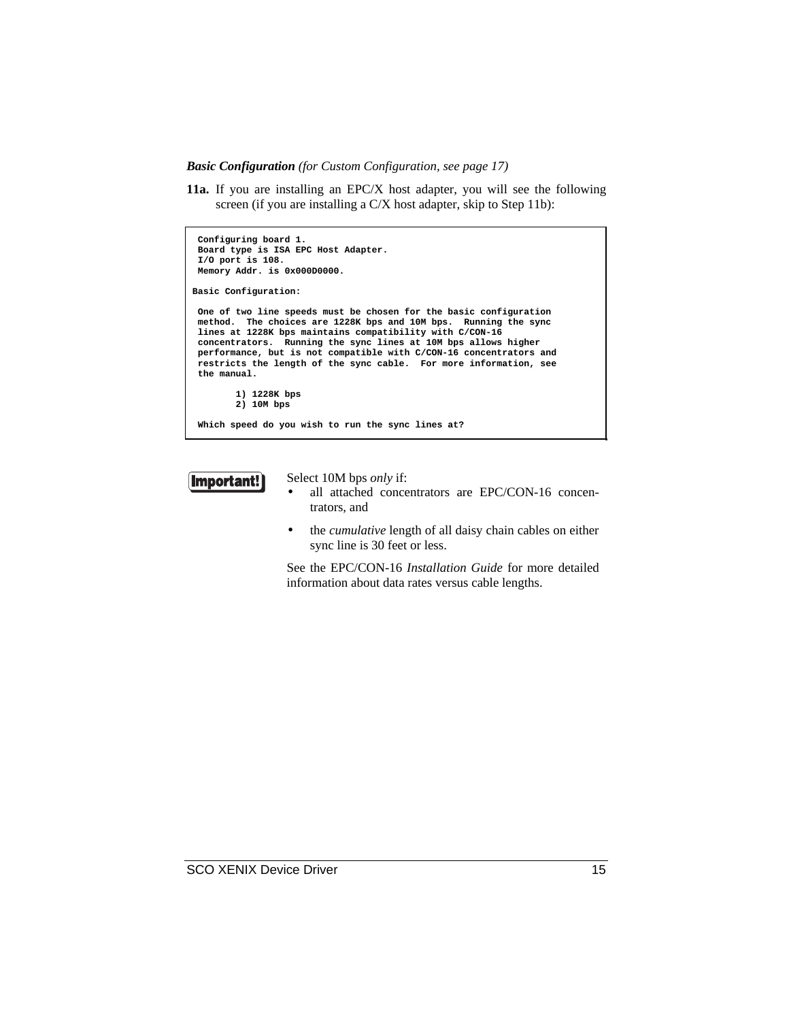*Basic Configuration (for Custom Configuration, see page 17)*

**11a.** If you are installing an EPC/X host adapter, you will see the following screen (if you are installing a C/X host adapter, skip to Step 11b):

```
 Configuring board 1.
 Board type is ISA EPC Host Adapter.
 I/O port is 108.
 Memory Addr. is 0x000D0000.
Basic Configuration:
 One of two line speeds must be chosen for the basic configuration
 method. The choices are 1228K bps and 10M bps. Running the sync
 lines at 1228K bps maintains compatibility with C/CON-16
 concentrators. Running the sync lines at 10M bps allows higher
 performance, but is not compatible with C/CON-16 concentrators and
 restricts the length of the sync cable. For more information, see
 the manual.
         1) 1228K bps
         2) 10M bps
 Which speed do you wish to run the sync lines at?
```


Select 10M bps *only* if:

- all attached concentrators are EPC/CON-16 concentrators, and
- the *cumulative* length of all daisy chain cables on either sync line is 30 feet or less.

See the EPC/CON-16 *Installation Guide* for more detailed information about data rates versus cable lengths.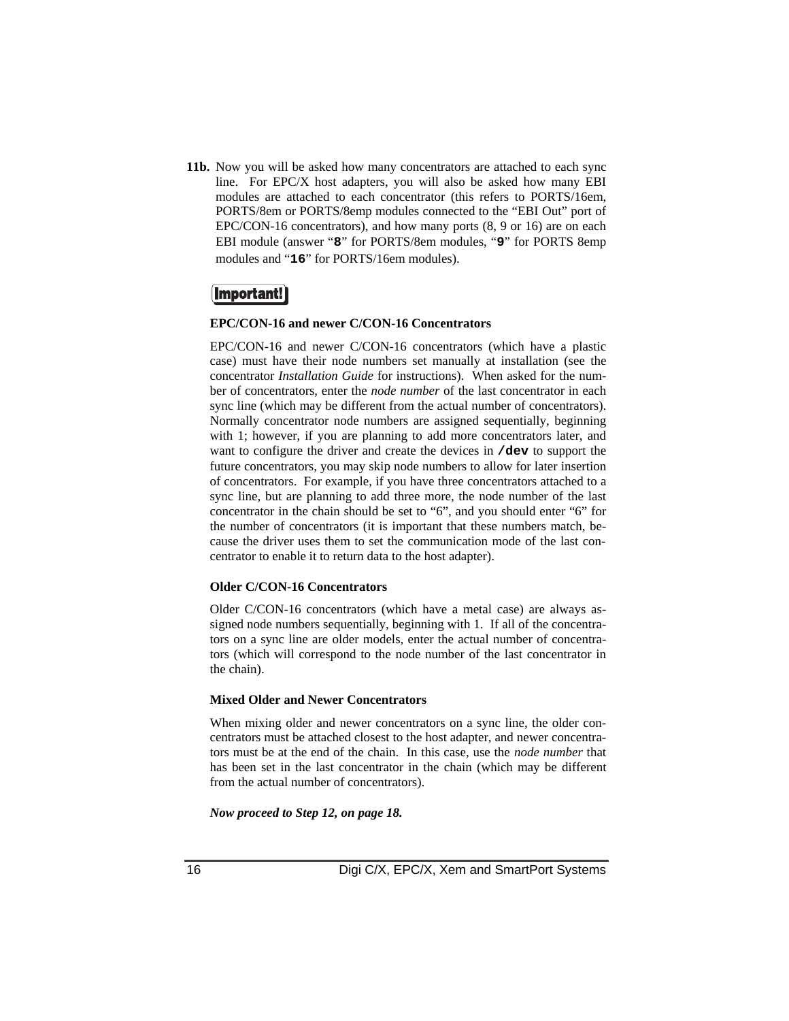**11b.** Now you will be asked how many concentrators are attached to each sync line. For EPC/X host adapters, you will also be asked how many EBI modules are attached to each concentrator (this refers to PORTS/16em, PORTS/8em or PORTS/8emp modules connected to the "EBI Out" port of EPC/CON-16 concentrators), and how many ports (8, 9 or 16) are on each EBI module (answer "**8**" for PORTS/8em modules, "**9**" for PORTS 8emp modules and "**16**" for PORTS/16em modules).

### **Important!**

#### **EPC/CON-16 and newer C/CON-16 Concentrators**

EPC/CON-16 and newer C/CON-16 concentrators (which have a plastic case) must have their node numbers set manually at installation (see the concentrator *Installation Guide* for instructions). When asked for the number of concentrators, enter the *node number* of the last concentrator in each sync line (which may be different from the actual number of concentrators). Normally concentrator node numbers are assigned sequentially, beginning with 1; however, if you are planning to add more concentrators later, and want to configure the driver and create the devices in **/dev** to support the future concentrators, you may skip node numbers to allow for later insertion of concentrators. For example, if you have three concentrators attached to a sync line, but are planning to add three more, the node number of the last concentrator in the chain should be set to "6", and you should enter "6" for the number of concentrators (it is important that these numbers match, because the driver uses them to set the communication mode of the last concentrator to enable it to return data to the host adapter).

#### **Older C/CON-16 Concentrators**

Older C/CON-16 concentrators (which have a metal case) are always assigned node numbers sequentially, beginning with 1. If all of the concentrators on a sync line are older models, enter the actual number of concentrators (which will correspond to the node number of the last concentrator in the chain).

#### **Mixed Older and Newer Concentrators**

When mixing older and newer concentrators on a sync line, the older concentrators must be attached closest to the host adapter, and newer concentrators must be at the end of the chain. In this case, use the *node number* that has been set in the last concentrator in the chain (which may be different from the actual number of concentrators).

*Now proceed to Step 12, on page 18.*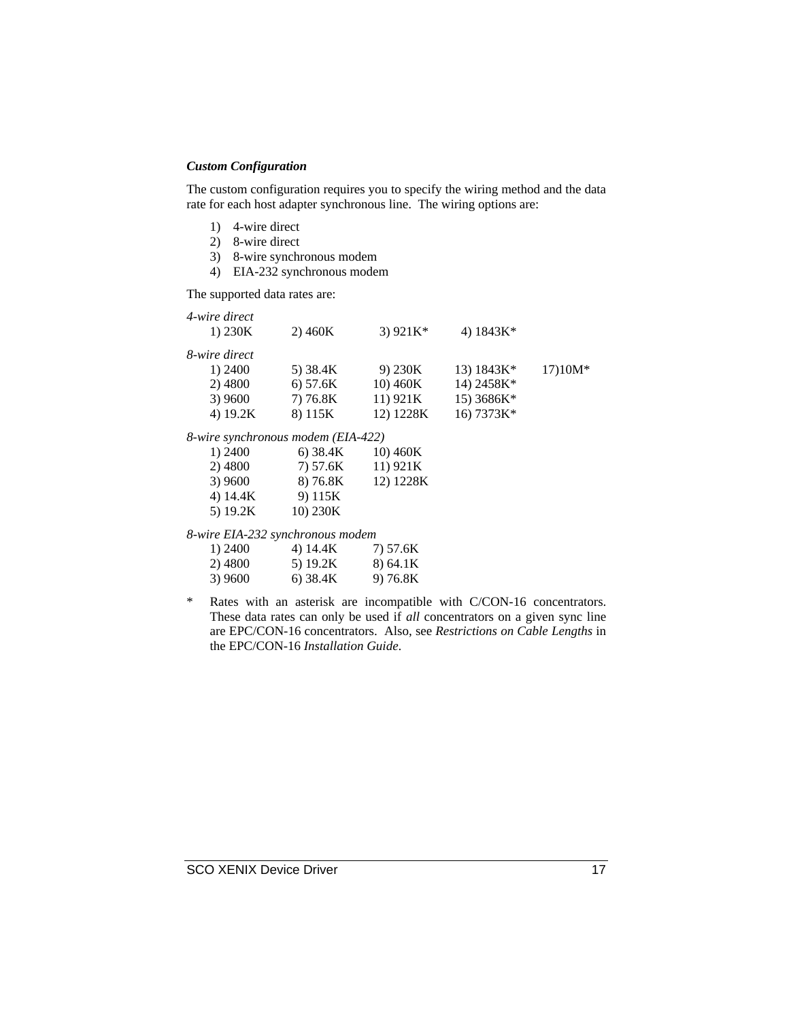### *Custom Configuration*

The custom configuration requires you to specify the wiring method and the data rate for each host adapter synchronous line. The wiring options are:

- 1) 4-wire direct
- 2) 8-wire direct
- 3) 8-wire synchronous modem
- 4) EIA-232 synchronous modem

The supported data rates are:

| 4-wire direct<br>1) $230K$         | 2)460K   | 3) $921K*$ | 4) $1843K*$ |           |
|------------------------------------|----------|------------|-------------|-----------|
| 8-wire direct                      |          |            |             |           |
| 1) 2400                            | 5) 38.4K | 9) 230K    | 13) 1843K*  | $17)10M*$ |
| 2) 4800                            | 6) 57.6K | 10) 460K   | 14) 2458K*  |           |
| 3) 9600                            | 7) 76.8K | 11) 921K   | 15) 3686K*  |           |
| 4) 19.2K                           | 8) 115K  | 12) 1228K  | 16) 7373K*  |           |
| 8-wire synchronous modem (EIA-422) |          |            |             |           |

|            | $\mu$ c b $\mu$ c $\mu$ c $\mu$ c $\mu$ c $\mu$ c $\mu$ c $\mu$ c $\mu$ c $\mu$ $\mu$ $\mu$ $\mu$ $\mu$ $\mu$ |           |
|------------|---------------------------------------------------------------------------------------------------------------|-----------|
| 1) 2400    | 6) $38.4K$                                                                                                    | 10) 460K  |
| 2) 4800    | 7) 57.6K                                                                                                      | 11) 921K  |
| 3) 9600    | 8) 76.8K                                                                                                      | 12) 1228K |
| 4) 14.4K   | 9) 115K                                                                                                       |           |
| 5) $19.2K$ | 10) 230K                                                                                                      |           |

*8-wire EIA-232 synchronous modem*

| 1) 2400 | 4) 14.4K | 7) 57.6K |
|---------|----------|----------|
| 2) 4800 | 5) 19.2K | 8) 64.1K |
| 3) 9600 | 6) 38.4K | 9) 76.8K |

\* Rates with an asterisk are incompatible with C/CON-16 concentrators. These data rates can only be used if *all* concentrators on a given sync line are EPC/CON-16 concentrators. Also, see *Restrictions on Cable Lengths* in the EPC/CON-16 *Installation Guide*.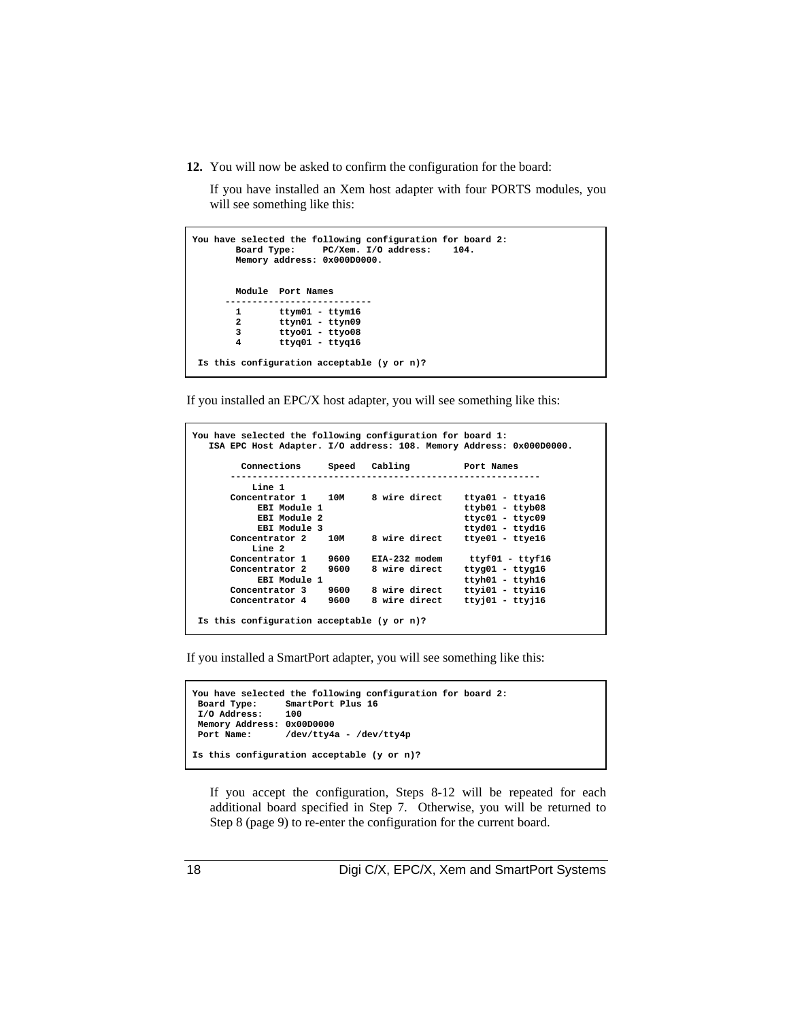**12.** You will now be asked to confirm the configuration for the board:

If you have installed an Xem host adapter with four PORTS modules, you will see something like this:

|                | You have selected the following configuration for board 2:<br>Board Type: PC/Xem. I/O address: 104.<br>Memory address: 0x000D0000. |
|----------------|------------------------------------------------------------------------------------------------------------------------------------|
|                | Module Port Names                                                                                                                  |
| 1              | $t$ tym $01 - t$ tym $16$                                                                                                          |
| $\overline{a}$ | $t$ tyn $01 - t$ tyn $09$                                                                                                          |
| 3              | $t$ tyo $01 - t$ tyo $08$                                                                                                          |
| 4              | $t$ tyg $01 - t$ tyg $16$                                                                                                          |
|                | Is this configuration acceptable (y or n)?                                                                                         |

If you installed an EPC/X host adapter, you will see something like this:

```
You have selected the following configuration for board 1:
    ISA EPC Host Adapter. I/O address: 108. Memory Address: 0x000D0000.
            Connections Speed Cabling Port Names
 ---------------------------------------------------------
        Line 1<br>Concentrator 1
              entrator 1 10M 8 wire direct<br>EBI Module 1
              ------<br>
EBI Module 1 and the same of the series of the series of the series of the series of the series of the series of the series of the series of the series of the series of the series of the series of the series of t
 EBI Module 2 ttyc01 - ttyc09
 EBI Module 3 ttyd01 - ttyd16
        Concentrator 2 10M 8 wire direct ttye01 - ttye16
        Line 2<br>Concentrator 1
 Concentrator 1 9600 EIA-232 modem ttyf01 - ttyf16
 Concentrator 2 9600 8 wire direct ttyg01 - ttyg16
 EBI Module 1 ttyh01 - ttyh16
 Concentrator 3 9600 8 wire direct ttyi01 - ttyi16
         Concentrator 4 9600 8 wire direct ttyj01 - ttyj16
  Is this configuration acceptable (y or n)?
```
If you installed a SmartPort adapter, you will see something like this:

```
You have selected the following configuration for board 2:
 Board Type: SmartPort Plus 16
 I/O Address:
 Memory Address: 0x00D0000<br>Port Name: /dev/tty4a
                    Port Name: /dev/tty4a - /dev/tty4p
Is this configuration acceptable (y or n)?
```
If you accept the configuration, Steps 8-12 will be repeated for each additional board specified in Step 7. Otherwise, you will be returned to Step 8 (page 9) to re-enter the configuration for the current board.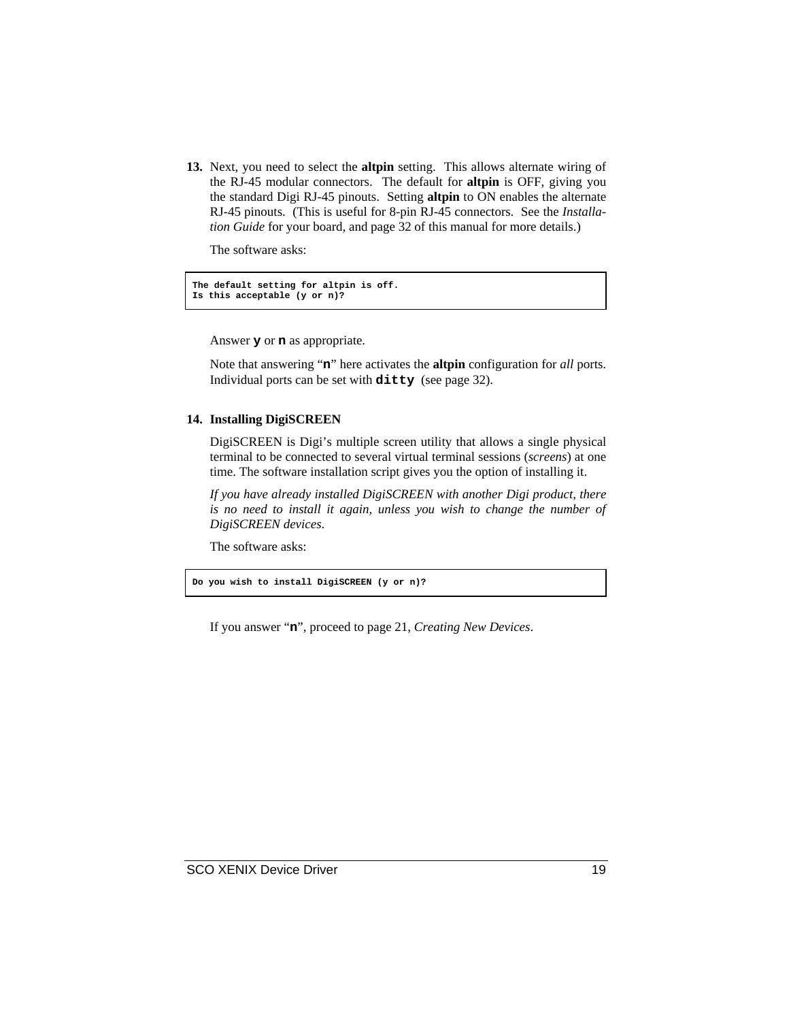**13.** Next, you need to select the **altpin** setting. This allows alternate wiring of the RJ-45 modular connectors. The default for **altpin** is OFF, giving you the standard Digi RJ-45 pinouts. Setting **altpin** to ON enables the alternate RJ-45 pinouts. (This is useful for 8-pin RJ-45 connectors. See the *Installation Guide* for your board, and page 32 of this manual for more details.)

The software asks:

**The default setting for altpin is off. Is this acceptable (y or n)?**

Answer **y** or **n** as appropriate.

Note that answering "**n**" here activates the **altpin** configuration for *all* ports. Individual ports can be set with **ditty** (see page 32).

### **14. Installing DigiSCREEN**

DigiSCREEN is Digi's multiple screen utility that allows a single physical terminal to be connected to several virtual terminal sessions (*screens*) at one time. The software installation script gives you the option of installing it.

*If you have already installed DigiSCREEN with another Digi product, there is no need to install it again, unless you wish to change the number of DigiSCREEN devices*.

The software asks:

**Do you wish to install DigiSCREEN (y or n)?**

If you answer "**n**", proceed to page 21, *Creating New Devices*.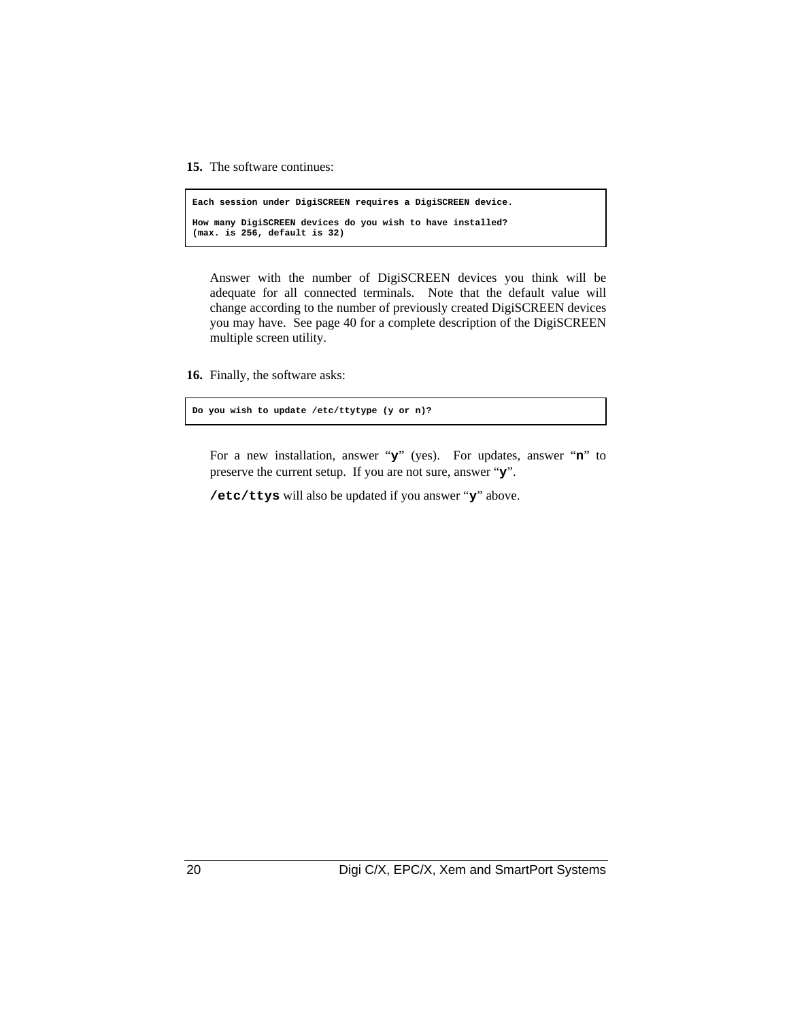**15.** The software continues:

```
Each session under DigiSCREEN requires a DigiSCREEN device.
How many DigiSCREEN devices do you wish to have installed?
(max. is 256, default is 32)
```
Answer with the number of DigiSCREEN devices you think will be adequate for all connected terminals. Note that the default value will change according to the number of previously created DigiSCREEN devices you may have. See page 40 for a complete description of the DigiSCREEN multiple screen utility.

**16.** Finally, the software asks:

**Do you wish to update /etc/ttytype (y or n)?**

For a new installation, answer "**y**" (yes). For updates, answer "**n**" to preserve the current setup. If you are not sure, answer "**y**".

**/etc/ttys** will also be updated if you answer "**y**" above.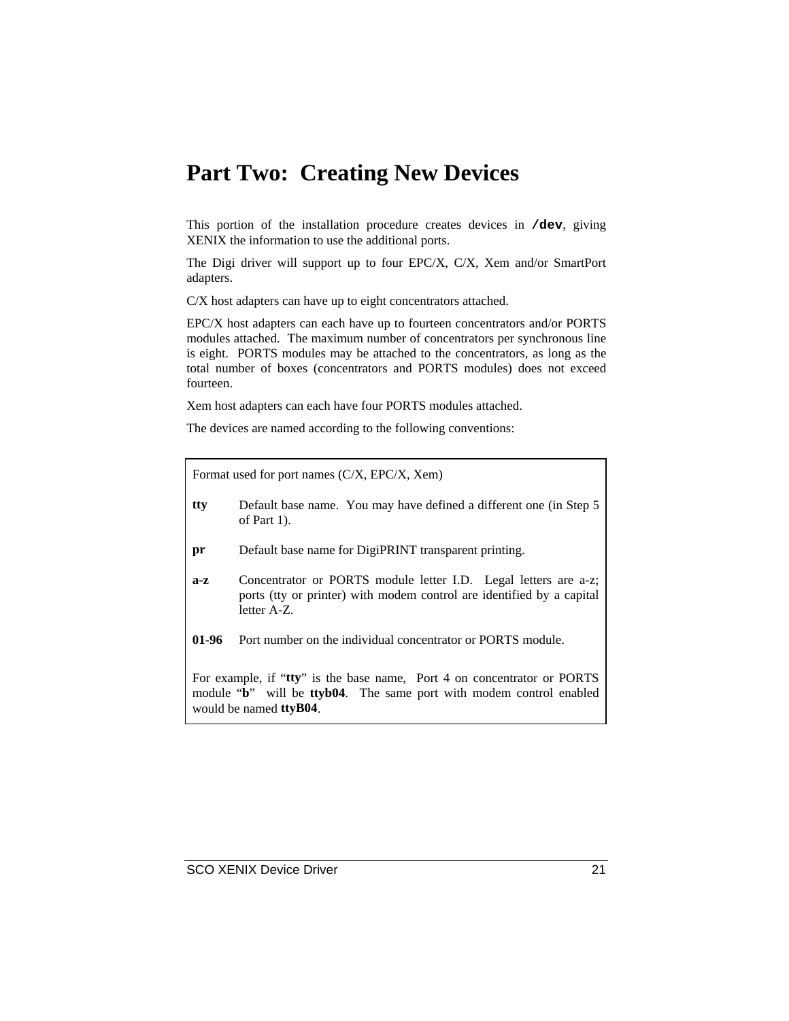### **Part Two: Creating New Devices**

This portion of the installation procedure creates devices in **/dev**, giving XENIX the information to use the additional ports.

The Digi driver will support up to four EPC/X, C/X, Xem and/or SmartPort adapters.

C/X host adapters can have up to eight concentrators attached.

EPC/X host adapters can each have up to fourteen concentrators and/or PORTS modules attached. The maximum number of concentrators per synchronous line is eight. PORTS modules may be attached to the concentrators, as long as the total number of boxes (concentrators and PORTS modules) does not exceed fourteen.

Xem host adapters can each have four PORTS modules attached.

The devices are named according to the following conventions:

Format used for port names (C/X, EPC/X, Xem)

- **tty** Default base name. You may have defined a different one (in Step 5 of Part 1).
- **pr** Default base name for DigiPRINT transparent printing.
- **a-z** Concentrator or PORTS module letter I.D. Legal letters are a-z; ports (tty or printer) with modem control are identified by a capital letter A-Z.
- **01-96** Port number on the individual concentrator or PORTS module.

For example, if "**tty**" is the base name, Port 4 on concentrator or PORTS module "**b**" will be **ttyb04**. The same port with modem control enabled would be named **ttyB04**.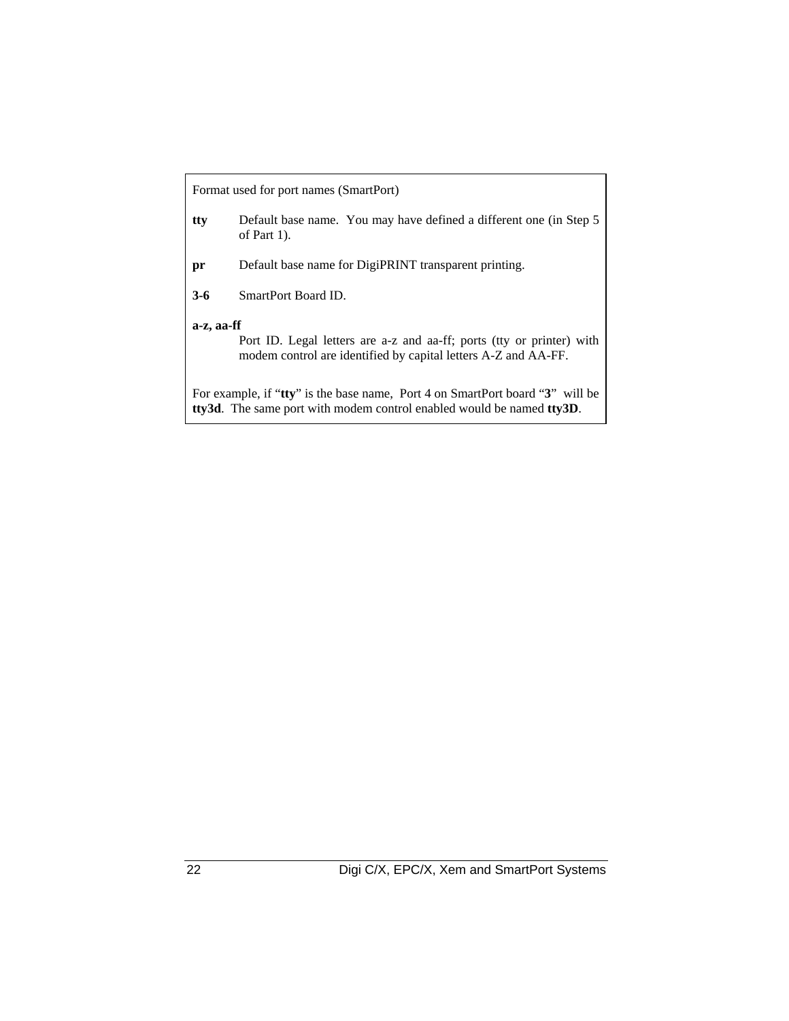| Format used for port names (SmartPort)                                                                                                                                |                                                                                      |  |
|-----------------------------------------------------------------------------------------------------------------------------------------------------------------------|--------------------------------------------------------------------------------------|--|
| tty                                                                                                                                                                   | Default base name. You may have defined a different one (in Step 5<br>of Part $1$ ). |  |
| pr                                                                                                                                                                    | Default base name for DigiPRINT transparent printing.                                |  |
| $3-6$                                                                                                                                                                 | SmartPort Board ID.                                                                  |  |
| a-z, aa-ff<br>Port ID. Legal letters are a-z and aa-ff; ports (tty or printer) with<br>modem control are identified by capital letters A-Z and AA-FF.                 |                                                                                      |  |
| For example, if "tty" is the base name, Port 4 on SmartPort board "3" will be<br><b>tty3d.</b> The same port with modem control enabled would be named <b>tty3D</b> . |                                                                                      |  |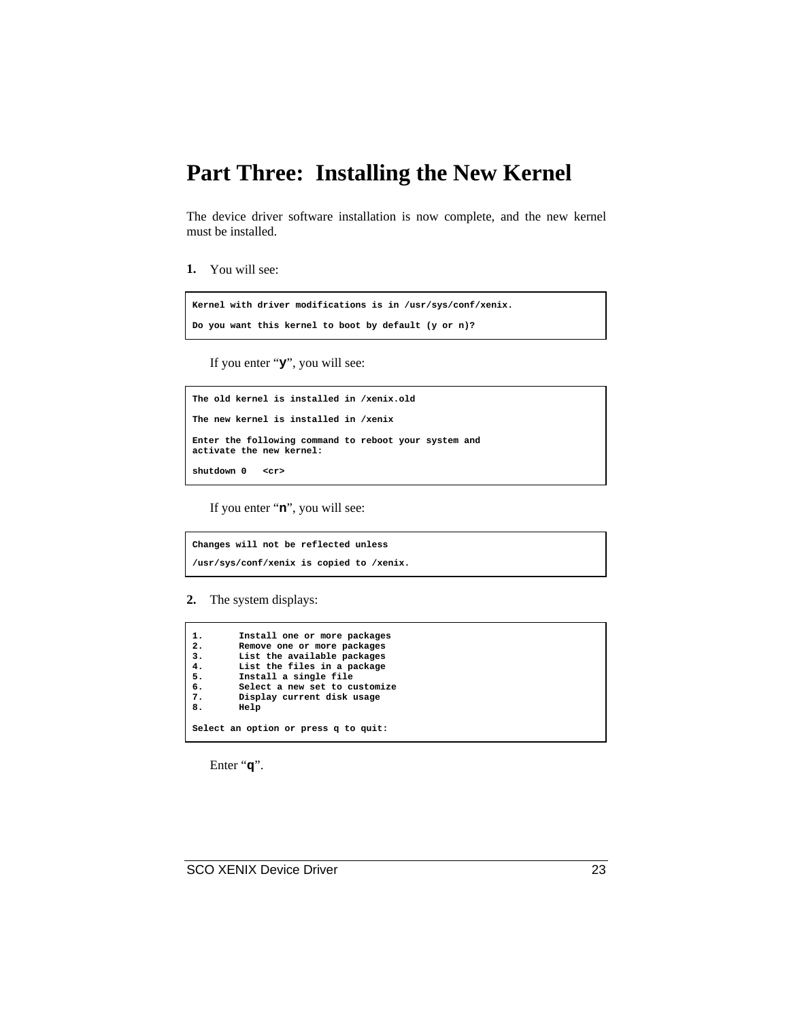### **Part Three: Installing the New Kernel**

The device driver software installation is now complete, and the new kernel must be installed.

**1.** You will see:

```
Kernel with driver modifications is in /usr/sys/conf/xenix.
Do you want this kernel to boot by default (y or n)?
```
If you enter "**y**", you will see:

```
The old kernel is installed in /xenix.old
The new kernel is installed in /xenix
Enter the following command to reboot your system and
activate the new kernel:
shutdown 0 <cr>
```
If you enter "**n**", you will see:

**Changes will not be reflected unless /usr/sys/conf/xenix is copied to /xenix.**

**2.** The system displays:

```
1. Install one or more packages
2. Remove one or more packages
3. List the available packages
4. List the files in a package
5. Install a single file
6. Select a new set to customize
7. Display current disk usage
       8. Help
Select an option or press q to quit:
```
Enter "**q**".

SCO XENIX Device Driver 23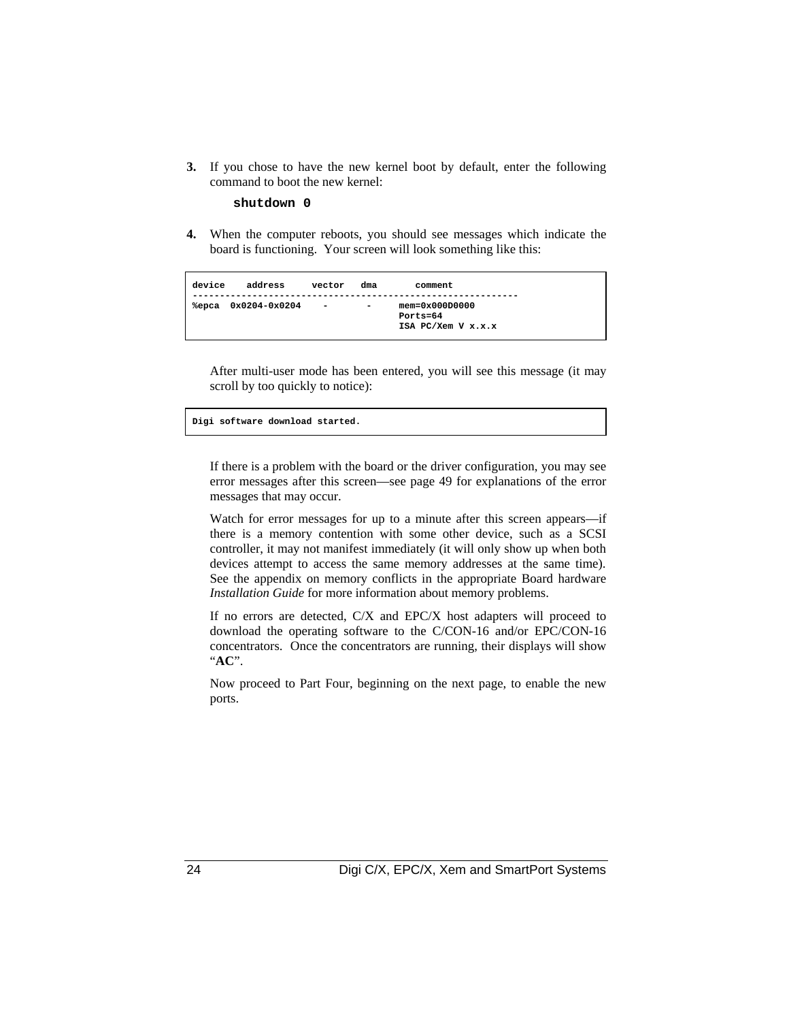**3.** If you chose to have the new kernel boot by default, enter the following command to boot the new kernel:

**shutdown 0**

**4.** When the computer reboots, you should see messages which indicate the board is functioning. Your screen will look something like this:

```
device address vector dma comment
------------------------------------------------------------
%epca 0x0204-0x0204 - - mem=0x000D0000
                                  Ports=64
                                 ISA PC/Xem V x.x.x
```
After multi-user mode has been entered, you will see this message (it may scroll by too quickly to notice):

**Digi software download started.**

If there is a problem with the board or the driver configuration, you may see error messages after this screen—see page 49 for explanations of the error messages that may occur.

Watch for error messages for up to a minute after this screen appears—if there is a memory contention with some other device, such as a SCSI controller, it may not manifest immediately (it will only show up when both devices attempt to access the same memory addresses at the same time). See the appendix on memory conflicts in the appropriate Board hardware *Installation Guide* for more information about memory problems.

If no errors are detected, C/X and EPC/X host adapters will proceed to download the operating software to the C/CON-16 and/or EPC/CON-16 concentrators. Once the concentrators are running, their displays will show "**AC**".

Now proceed to Part Four, beginning on the next page, to enable the new ports.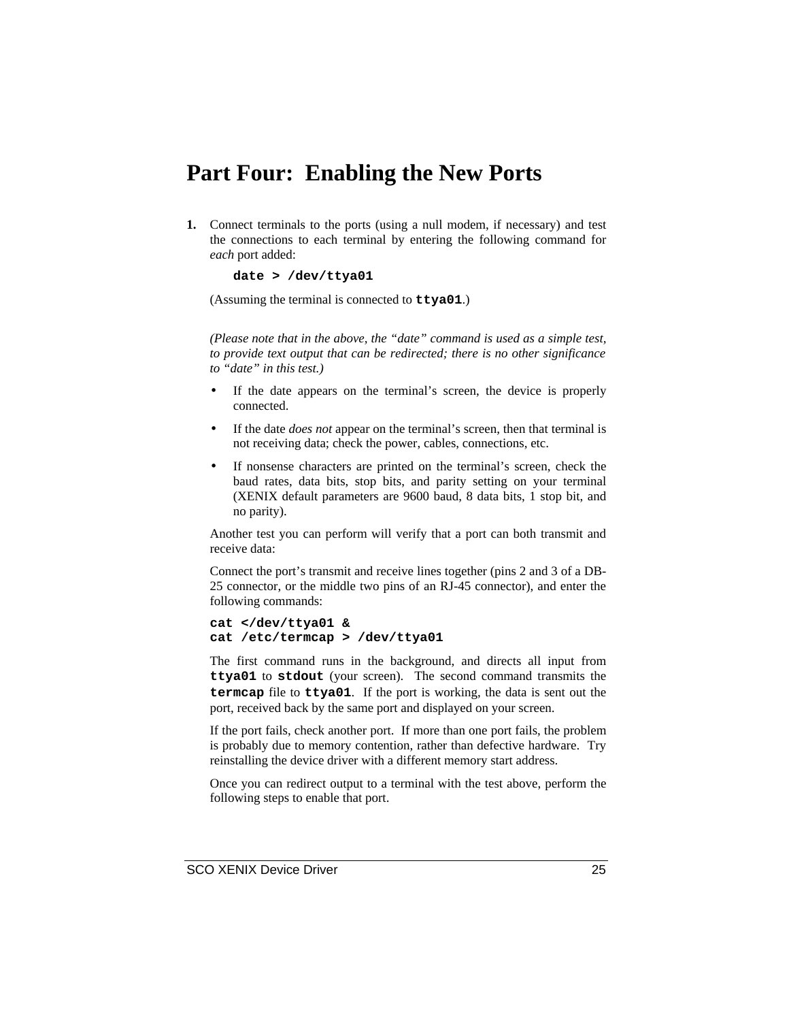### **Part Four: Enabling the New Ports**

**1.** Connect terminals to the ports (using a null modem, if necessary) and test the connections to each terminal by entering the following command for *each* port added:

**date > /dev/ttya01**

(Assuming the terminal is connected to **ttya01**.)

*(Please note that in the above, the "date" command is used as a simple test, to provide text output that can be redirected; there is no other significance to "date" in this test.)*

- If the date appears on the terminal's screen, the device is properly connected.
- If the date *does not* appear on the terminal's screen, then that terminal is not receiving data; check the power, cables, connections, etc.
- If nonsense characters are printed on the terminal's screen, check the baud rates, data bits, stop bits, and parity setting on your terminal (XENIX default parameters are 9600 baud, 8 data bits, 1 stop bit, and no parity).

Another test you can perform will verify that a port can both transmit and receive data:

Connect the port's transmit and receive lines together (pins 2 and 3 of a DB-25 connector, or the middle two pins of an RJ-45 connector), and enter the following commands:

```
cat </dev/ttya01 &
cat /etc/termcap > /dev/ttya01
```
The first command runs in the background, and directs all input from **ttya01** to **stdout** (your screen). The second command transmits the **termcap** file to **ttya01**. If the port is working, the data is sent out the port, received back by the same port and displayed on your screen.

If the port fails, check another port. If more than one port fails, the problem is probably due to memory contention, rather than defective hardware. Try reinstalling the device driver with a different memory start address.

Once you can redirect output to a terminal with the test above, perform the following steps to enable that port.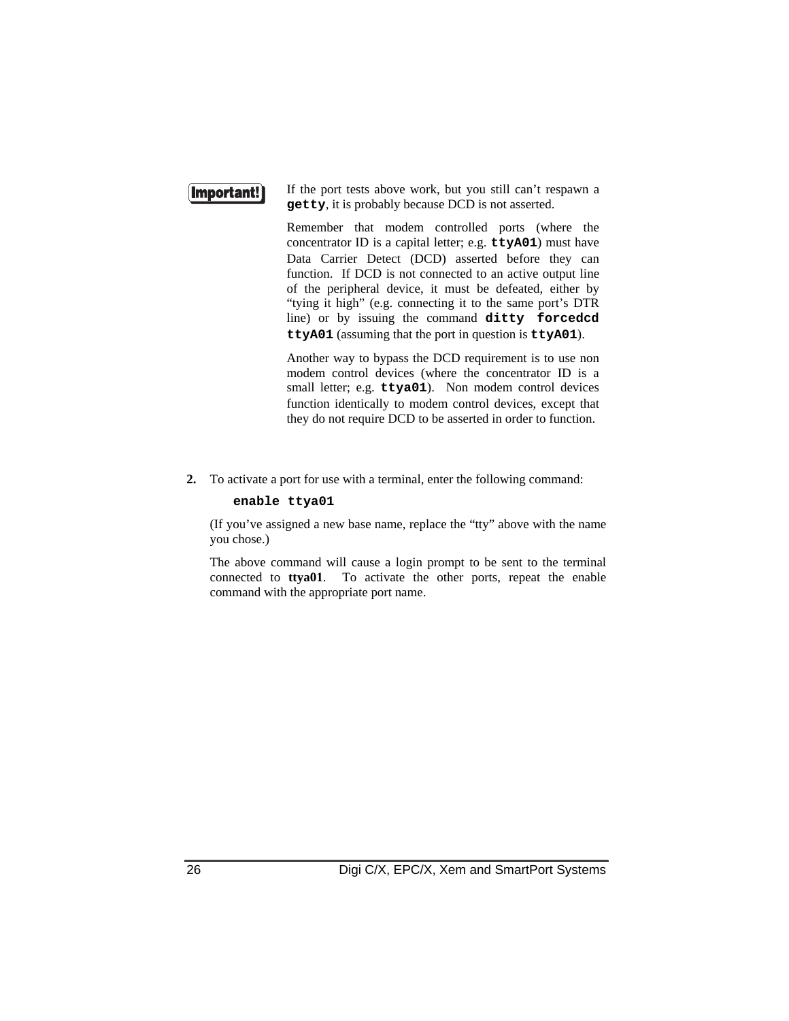### (Important!

If the port tests above work, but you still can't respawn a **getty**, it is probably because DCD is not asserted.

Remember that modem controlled ports (where the concentrator ID is a capital letter; e.g. **ttyA01**) must have Data Carrier Detect (DCD) asserted before they can function. If DCD is not connected to an active output line of the peripheral device, it must be defeated, either by "tying it high" (e.g. connecting it to the same port's DTR line) or by issuing the command **ditty forcedcd ttyA01** (assuming that the port in question is **ttyA01**).

Another way to bypass the DCD requirement is to use non modem control devices (where the concentrator ID is a small letter; e.g. **ttya01**). Non modem control devices function identically to modem control devices, except that they do not require DCD to be asserted in order to function.

**2.** To activate a port for use with a terminal, enter the following command:

#### **enable ttya01**

(If you've assigned a new base name, replace the "tty" above with the name you chose.)

The above command will cause a login prompt to be sent to the terminal connected to **ttya01**. To activate the other ports, repeat the enable command with the appropriate port name.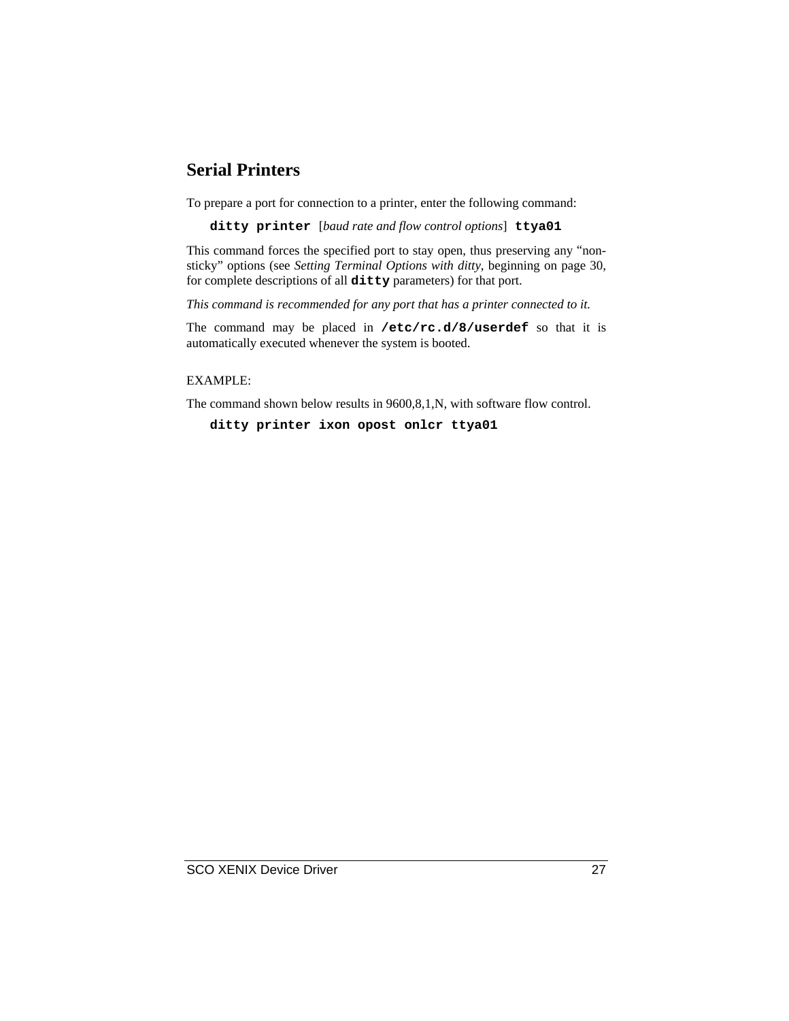### **Serial Printers**

To prepare a port for connection to a printer, enter the following command:

**ditty printer** [*baud rate and flow control options*] **ttya01**

This command forces the specified port to stay open, thus preserving any "nonsticky" options (see *Setting Terminal Options with ditty*, beginning on page 30, for complete descriptions of all **ditty** parameters) for that port.

*This command is recommended for any port that has a printer connected to it.*

The command may be placed in **/etc/rc.d/8/userdef** so that it is automatically executed whenever the system is booted.

EXAMPLE:

The command shown below results in 9600,8,1,N, with software flow control.

**ditty printer ixon opost onlcr ttya01**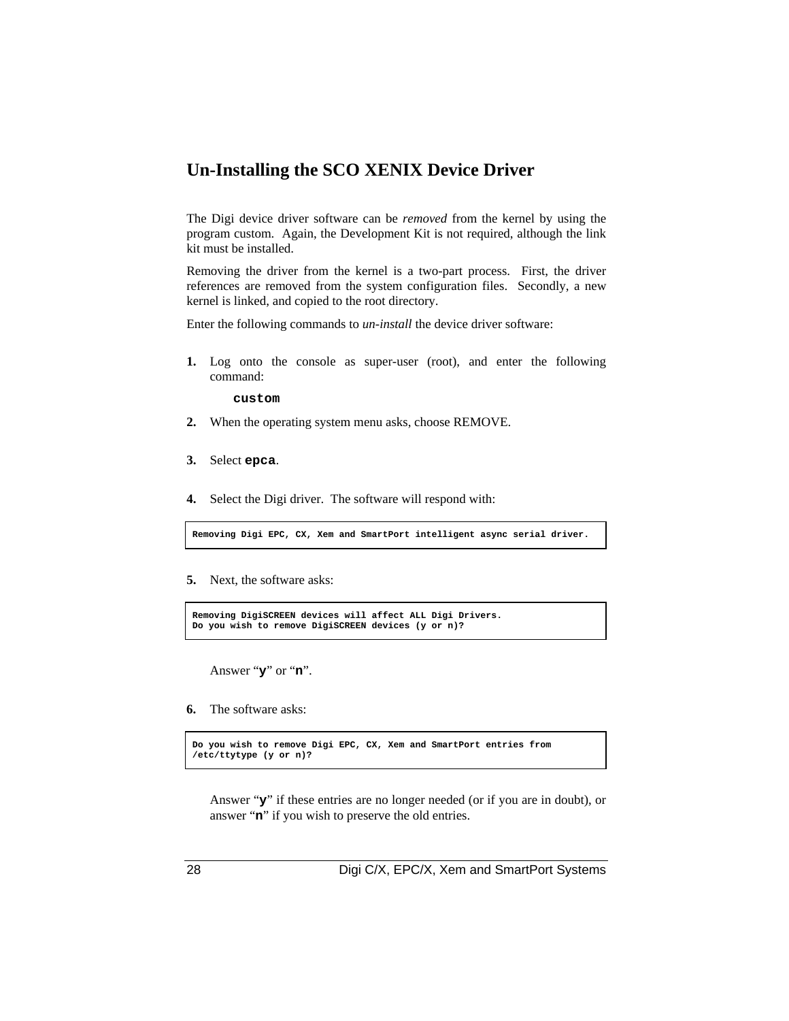### **Un-Installing the SCO XENIX Device Driver**

The Digi device driver software can be *removed* from the kernel by using the program custom. Again, the Development Kit is not required, although the link kit must be installed.

Removing the driver from the kernel is a two-part process. First, the driver references are removed from the system configuration files. Secondly, a new kernel is linked, and copied to the root directory.

Enter the following commands to *un-install* the device driver software:

**1.** Log onto the console as super-user (root), and enter the following command:

**custom**

- **2.** When the operating system menu asks, choose REMOVE.
- **3.** Select **epca**.
- **4.** Select the Digi driver. The software will respond with:

**Removing Digi EPC, CX, Xem and SmartPort intelligent async serial driver.**

**5.** Next, the software asks:

```
Removing DigiSCREEN devices will affect ALL Digi Drivers.
Do you wish to remove DigiSCREEN devices (y or n)?
```
Answer "**y**" or "**n**".

**6.** The software asks:

```
Do you wish to remove Digi EPC, CX, Xem and SmartPort entries from
/etc/ttytype (y or n)?
```
Answer "**y**" if these entries are no longer needed (or if you are in doubt), or answer "**n**" if you wish to preserve the old entries.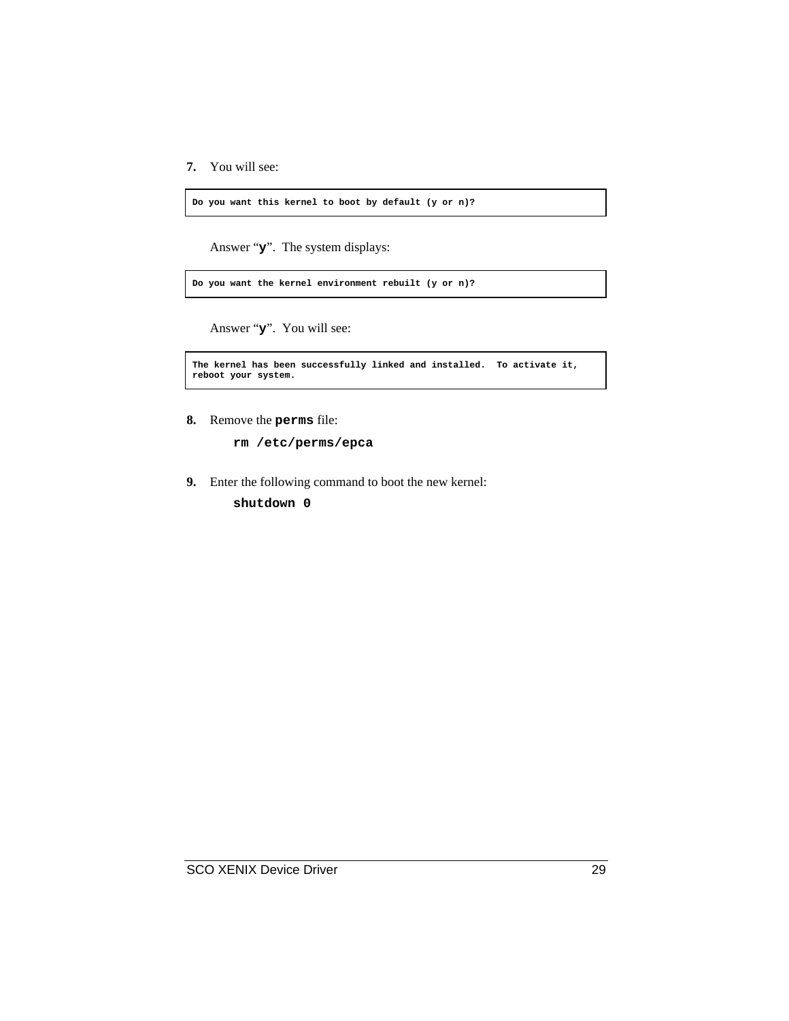**7.** You will see:

**Do you want this kernel to boot by default (y or n)?**

Answer "**y**". The system displays:

**Do you want the kernel environment rebuilt (y or n)?**

Answer "**y**". You will see:

```
The kernel has been successfully linked and installed. To activate it,
reboot your system.
```
**8.** Remove the **perms** file:

**rm /etc/perms/epca**

**9.** Enter the following command to boot the new kernel:

**shutdown 0**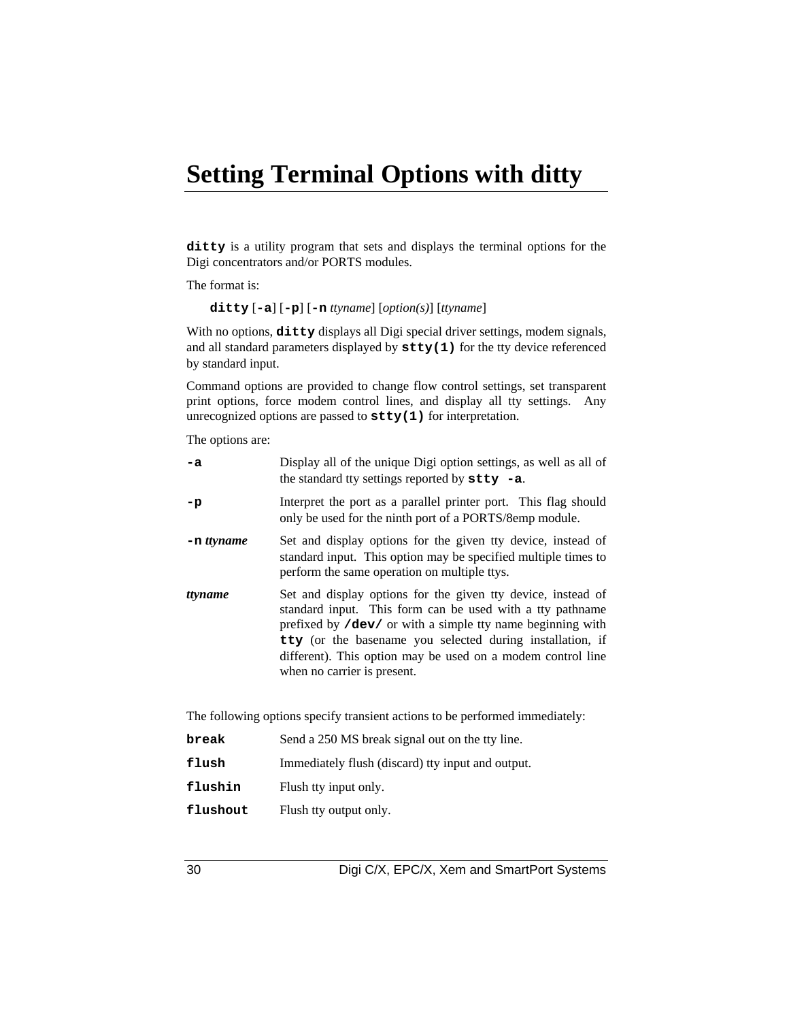### **Setting Terminal Options with ditty**

**ditty** is a utility program that sets and displays the terminal options for the Digi concentrators and/or PORTS modules.

The format is:

**ditty** [**-a**] [**-p**] [**-n** *ttyname*] [*option(s)*] [*ttyname*]

With no options,  $d$ itty displays all Digi special driver settings, modem signals, and all standard parameters displayed by **stty(1)** for the tty device referenced by standard input.

Command options are provided to change flow control settings, set transparent print options, force modem control lines, and display all tty settings. Any unrecognized options are passed to **stty(1)** for interpretation.

The options are:

| $-a$          | Display all of the unique Digi option settings, as well as all of<br>the standard tty settings reported by $\texttt{stty}$ -a.                                                                                                                                                                                                                     |
|---------------|----------------------------------------------------------------------------------------------------------------------------------------------------------------------------------------------------------------------------------------------------------------------------------------------------------------------------------------------------|
| $-p$          | Interpret the port as a parallel printer port. This flag should<br>only be used for the ninth port of a PORTS/8emp module.                                                                                                                                                                                                                         |
| $-$ n ttyname | Set and display options for the given tty device, instead of<br>standard input. This option may be specified multiple times to<br>perform the same operation on multiple ttys.                                                                                                                                                                     |
| ttyname       | Set and display options for the given tty device, instead of<br>standard input. This form can be used with a tty pathname<br>prefixed by /dev/ or with a simple tty name beginning with<br>tty (or the basename you selected during installation, if<br>different). This option may be used on a modem control line<br>when no carrier is present. |
|               | The following options specify transient actions to be performed immediately:                                                                                                                                                                                                                                                                       |

| break    | Send a 250 MS break signal out on the tty line.   |
|----------|---------------------------------------------------|
| flush    | Immediately flush (discard) tty input and output. |
| flushin  | Flush tty input only.                             |
| flushout | Flush tty output only.                            |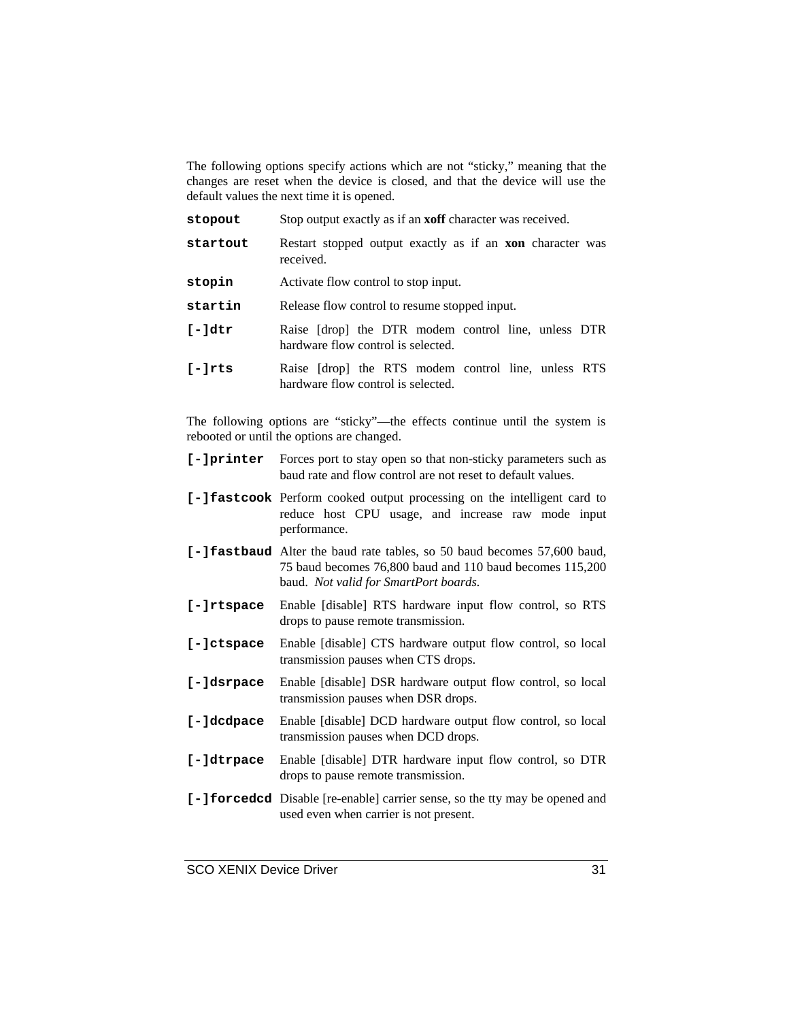The following options specify actions which are not "sticky," meaning that the changes are reset when the device is closed, and that the device will use the default values the next time it is opened.

| stopout          | Stop output exactly as if an <b>xoff</b> character was received.                          |
|------------------|-------------------------------------------------------------------------------------------|
| startout         | Restart stopped output exactly as if an <b>xon</b> character was<br>received.             |
| stopin           | Activate flow control to stop input.                                                      |
| startin          | Release flow control to resume stopped input.                                             |
| $[-] \text{dtr}$ | Raise [drop] the DTR modem control line, unless DTR<br>hardware flow control is selected. |
| $[-]$ rts        | Raise [drop] the RTS modem control line, unless RTS<br>hardware flow control is selected. |

The following options are "sticky"—the effects continue until the system is rebooted or until the options are changed.

|            | [-] printer Forces port to stay open so that non-sticky parameters such as<br>baud rate and flow control are not reset to default values.                                            |
|------------|--------------------------------------------------------------------------------------------------------------------------------------------------------------------------------------|
|            | [-] fastcook Perform cooked output processing on the intelligent card to<br>reduce host CPU usage, and increase raw mode input<br>performance.                                       |
|            | <b>[-] fastbaud</b> Alter the baud rate tables, so 50 baud becomes 57,600 baud,<br>75 baud becomes 76,800 baud and 110 baud becomes 115,200<br>baud. Not valid for SmartPort boards. |
| [-]rtspace | Enable [disable] RTS hardware input flow control, so RTS<br>drops to pause remote transmission.                                                                                      |
| [-]ctspace | Enable [disable] CTS hardware output flow control, so local<br>transmission pauses when CTS drops.                                                                                   |
| [-]dsrpace | Enable [disable] DSR hardware output flow control, so local<br>transmission pauses when DSR drops.                                                                                   |
| [-]dcdpace | Enable [disable] DCD hardware output flow control, so local<br>transmission pauses when DCD drops.                                                                                   |
| [-]dtrpace | Enable [disable] DTR hardware input flow control, so DTR<br>drops to pause remote transmission.                                                                                      |
|            | [-] forcedcd Disable [re-enable] carrier sense, so the tty may be opened and<br>used even when carrier is not present.                                                               |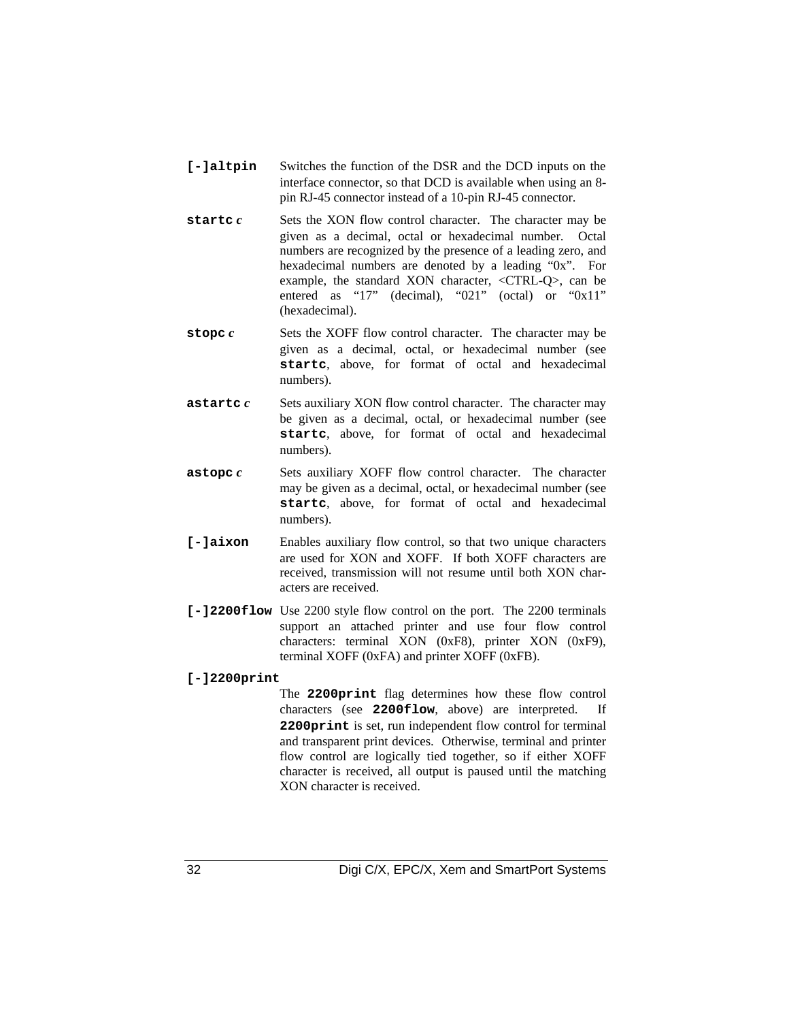- **[-]altpin** Switches the function of the DSR and the DCD inputs on the interface connector, so that DCD is available when using an 8 pin RJ-45 connector instead of a 10-pin RJ-45 connector.
- **startc** *c* Sets the XON flow control character. The character may be given as a decimal, octal or hexadecimal number. Octal numbers are recognized by the presence of a leading zero, and hexadecimal numbers are denoted by a leading "0x". For example, the standard XON character, <CTRL-Q>, can be entered as "17" (decimal), "021" (octal) or "0x11" (hexadecimal).
- **stopc** *c* Sets the XOFF flow control character. The character may be given as a decimal, octal, or hexadecimal number (see **startc**, above, for format of octal and hexadecimal numbers).
- **astartc** *c* Sets auxiliary XON flow control character. The character may be given as a decimal, octal, or hexadecimal number (see **startc**, above, for format of octal and hexadecimal numbers).
- **astopc** *c* Sets auxiliary XOFF flow control character. The character may be given as a decimal, octal, or hexadecimal number (see **startc**, above, for format of octal and hexadecimal numbers).
- **[-]aixon** Enables auxiliary flow control, so that two unique characters are used for XON and XOFF. If both XOFF characters are received, transmission will not resume until both XON characters are received.
- **[-]2200flow** Use 2200 style flow control on the port. The 2200 terminals support an attached printer and use four flow control characters: terminal XON (0xF8), printer XON (0xF9), terminal XOFF (0xFA) and printer XOFF (0xFB).

### **[-]2200print**

The **2200print** flag determines how these flow control characters (see **2200flow**, above) are interpreted. If **2200print** is set, run independent flow control for terminal and transparent print devices. Otherwise, terminal and printer flow control are logically tied together, so if either XOFF character is received, all output is paused until the matching XON character is received.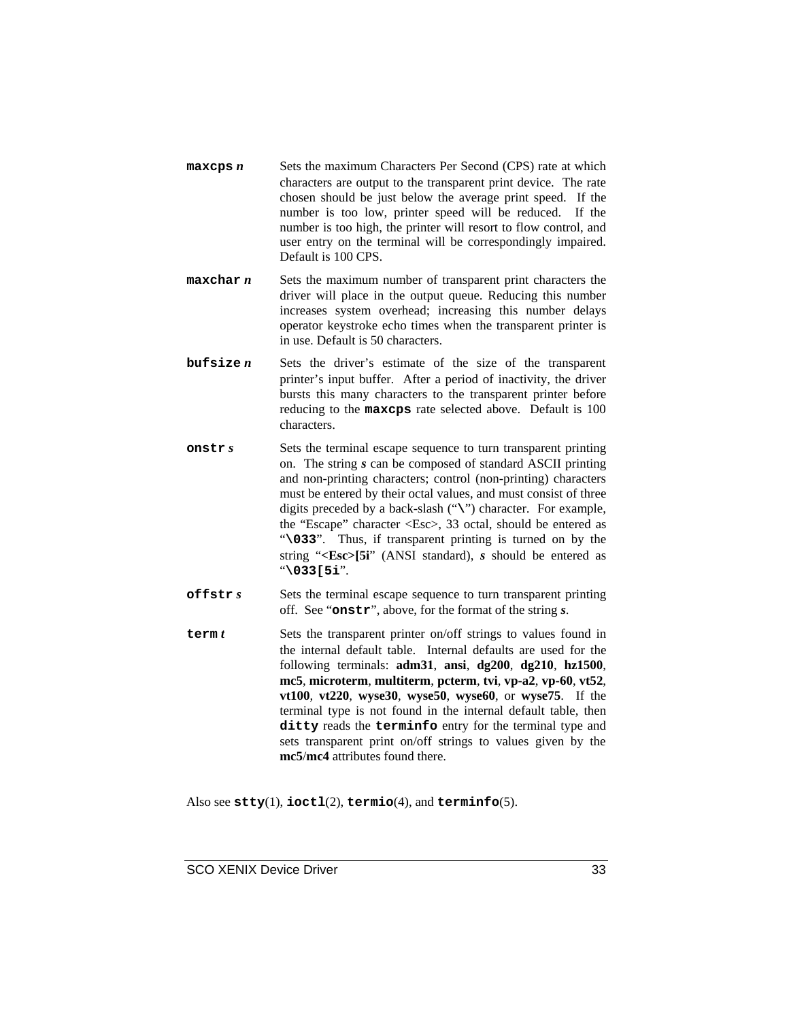- **maxcps** *n* Sets the maximum Characters Per Second (CPS) rate at which characters are output to the transparent print device. The rate chosen should be just below the average print speed. If the number is too low, printer speed will be reduced. If the number is too high, the printer will resort to flow control, and user entry on the terminal will be correspondingly impaired. Default is 100 CPS.
- **maxchar** *n* Sets the maximum number of transparent print characters the driver will place in the output queue. Reducing this number increases system overhead; increasing this number delays operator keystroke echo times when the transparent printer is in use. Default is 50 characters.
- **bufsize** *n* Sets the driver's estimate of the size of the transparent printer's input buffer. After a period of inactivity, the driver bursts this many characters to the transparent printer before reducing to the **maxcps** rate selected above. Default is 100 characters.
- **onstr** *s* Sets the terminal escape sequence to turn transparent printing on. The string *s* can be composed of standard ASCII printing and non-printing characters; control (non-printing) characters must be entered by their octal values, and must consist of three digits preceded by a back-slash ("**\**") character. For example, the "Escape" character <Esc>, 33 octal, should be entered as "**\033**". Thus, if transparent printing is turned on by the string "**<Esc>[5i**" (ANSI standard), *s* should be entered as "**\033[5i**".
- **offstr** *s* Sets the terminal escape sequence to turn transparent printing off. See "**onstr**", above, for the format of the string *s*.
- **term** *t* Sets the transparent printer on/off strings to values found in the internal default table. Internal defaults are used for the following terminals: **adm31**, **ansi**, **dg200**, **dg210**, **hz1500**, **mc5**, **microterm**, **multiterm**, **pcterm**, **tvi**, **vp-a2**, **vp-60**, **vt52**, **vt100**, **vt220**, **wyse30**, **wyse50**, **wyse60**, or **wyse75**. If the terminal type is not found in the internal default table, then **ditty** reads the **terminfo** entry for the terminal type and sets transparent print on/off strings to values given by the **mc5**/**mc4** attributes found there.

Also see **stty**(1), **ioctl**(2), **termio**(4), and **terminfo**(5).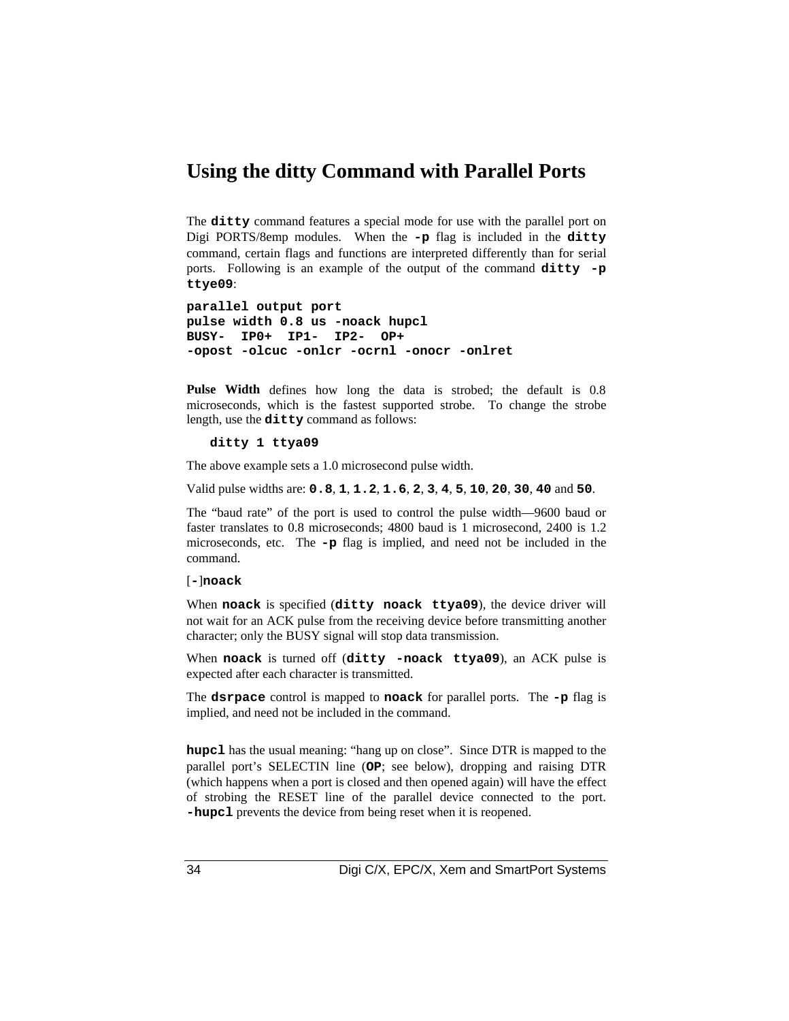### **Using the ditty Command with Parallel Ports**

The **ditty** command features a special mode for use with the parallel port on Digi PORTS/8emp modules. When the **-p** flag is included in the **ditty** command, certain flags and functions are interpreted differently than for serial ports. Following is an example of the output of the command **ditty -p ttye09**:

```
parallel output port
pulse width 0.8 us -noack hupcl
BUSY- IP0+ IP1- IP2- OP+
-opost -olcuc -onlcr -ocrnl -onocr -onlret
```
**Pulse Width** defines how long the data is strobed; the default is 0.8 microseconds, which is the fastest supported strobe. To change the strobe length, use the **ditty** command as follows:

**ditty 1 ttya09**

The above example sets a 1.0 microsecond pulse width.

Valid pulse widths are: **0.8**, **1**, **1.2**, **1.6**, **2**, **3**, **4**, **5**, **10**, **20**, **30**, **40** and **50**.

The "baud rate" of the port is used to control the pulse width—9600 baud or faster translates to 0.8 microseconds; 4800 baud is 1 microsecond, 2400 is 1.2 microseconds, etc. The **-p** flag is implied, and need not be included in the command.

#### [**-**]**noack**

When **noack** is specified (**ditty noack ttya09**), the device driver will not wait for an ACK pulse from the receiving device before transmitting another character; only the BUSY signal will stop data transmission.

When **noack** is turned off (**ditty -noack ttya09**), an ACK pulse is expected after each character is transmitted.

The **dsrpace** control is mapped to **noack** for parallel ports. The **-p** flag is implied, and need not be included in the command.

**hupcl** has the usual meaning: "hang up on close". Since DTR is mapped to the parallel port's SELECTIN line (**OP**; see below), dropping and raising DTR (which happens when a port is closed and then opened again) will have the effect of strobing the RESET line of the parallel device connected to the port. **-hupcl** prevents the device from being reset when it is reopened.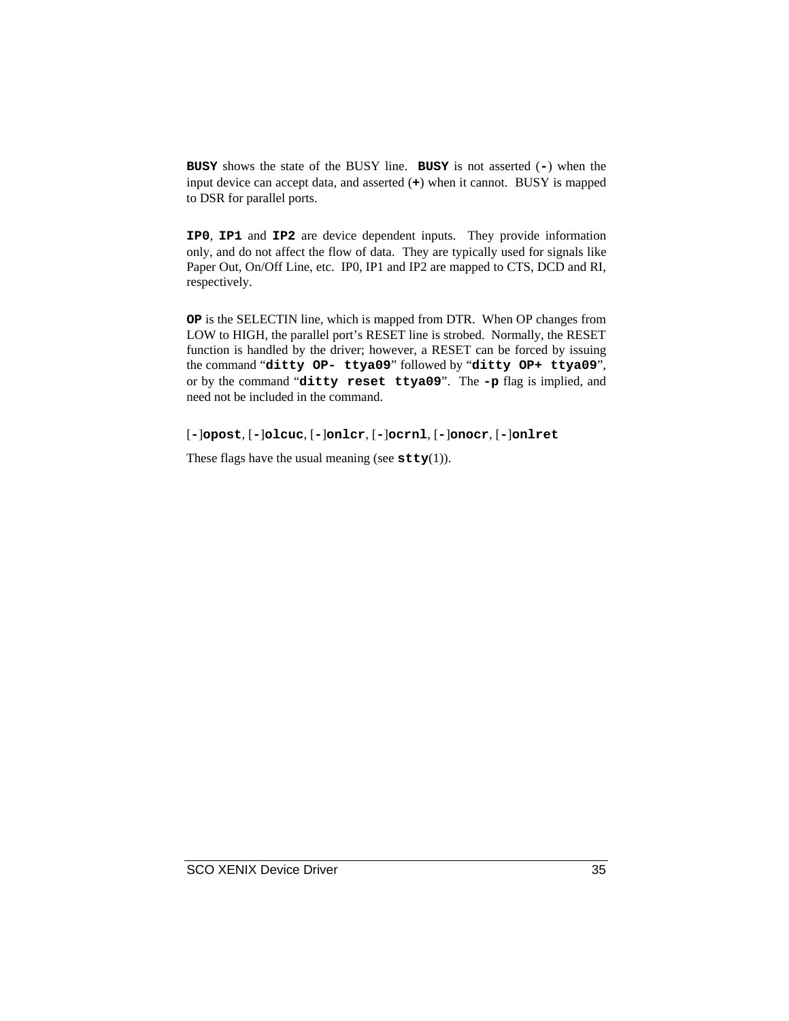**BUSY** shows the state of the BUSY line. **BUSY** is not asserted (**-**) when the input device can accept data, and asserted (**+**) when it cannot. BUSY is mapped to DSR for parallel ports.

**IP0**, **IP1** and **IP2** are device dependent inputs. They provide information only, and do not affect the flow of data. They are typically used for signals like Paper Out, On/Off Line, etc. IP0, IP1 and IP2 are mapped to CTS, DCD and RI, respectively.

**OP** is the SELECTIN line, which is mapped from DTR. When OP changes from LOW to HIGH, the parallel port's RESET line is strobed. Normally, the RESET function is handled by the driver; however, a RESET can be forced by issuing the command "**ditty OP- ttya09**" followed by "**ditty OP+ ttya09**", or by the command "**ditty reset ttya09**". The **-p** flag is implied, and need not be included in the command.

[**-**]**opost**, [**-**]**olcuc**, [**-**]**onlcr**, [**-**]**ocrnl**, [**-**]**onocr**, [**-**]**onlret**

These flags have the usual meaning (see  $\text{stty}(1)$ ).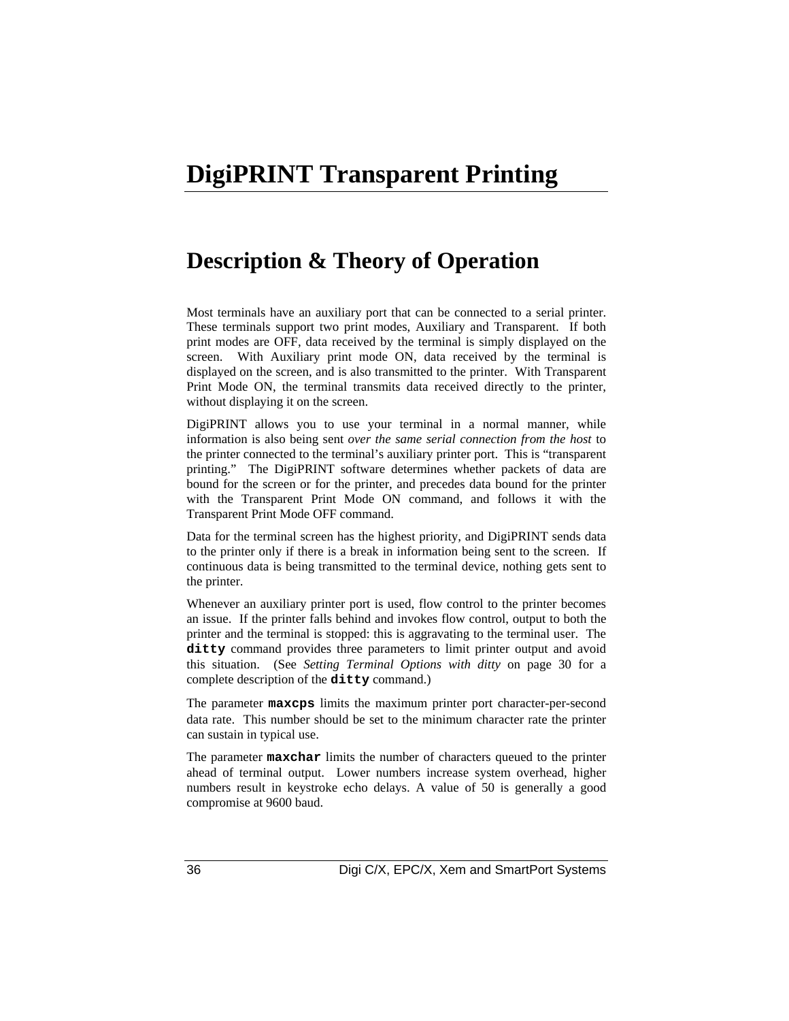### **DigiPRINT Transparent Printing**

### **Description & Theory of Operation**

Most terminals have an auxiliary port that can be connected to a serial printer. These terminals support two print modes, Auxiliary and Transparent. If both print modes are OFF, data received by the terminal is simply displayed on the screen. With Auxiliary print mode ON, data received by the terminal is displayed on the screen, and is also transmitted to the printer. With Transparent Print Mode ON, the terminal transmits data received directly to the printer, without displaying it on the screen.

DigiPRINT allows you to use your terminal in a normal manner, while information is also being sent *over the same serial connection from the host* to the printer connected to the terminal's auxiliary printer port. This is "transparent printing." The DigiPRINT software determines whether packets of data are bound for the screen or for the printer, and precedes data bound for the printer with the Transparent Print Mode ON command, and follows it with the Transparent Print Mode OFF command.

Data for the terminal screen has the highest priority, and DigiPRINT sends data to the printer only if there is a break in information being sent to the screen. If continuous data is being transmitted to the terminal device, nothing gets sent to the printer.

Whenever an auxiliary printer port is used, flow control to the printer becomes an issue. If the printer falls behind and invokes flow control, output to both the printer and the terminal is stopped: this is aggravating to the terminal user. The **ditty** command provides three parameters to limit printer output and avoid this situation. (See *Setting Terminal Options with ditty* on page 30 for a complete description of the **ditty** command.)

The parameter **maxcps** limits the maximum printer port character-per-second data rate. This number should be set to the minimum character rate the printer can sustain in typical use.

The parameter **maxchar** limits the number of characters queued to the printer ahead of terminal output. Lower numbers increase system overhead, higher numbers result in keystroke echo delays. A value of 50 is generally a good compromise at 9600 baud.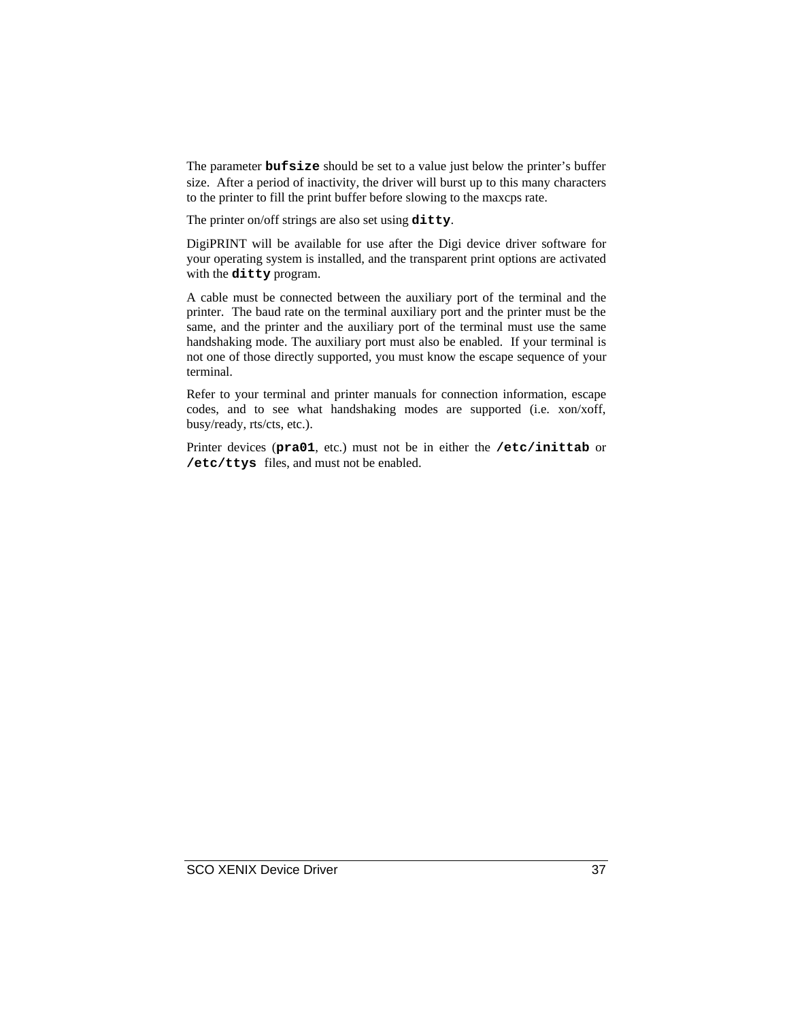The parameter **bufsize** should be set to a value just below the printer's buffer size. After a period of inactivity, the driver will burst up to this many characters to the printer to fill the print buffer before slowing to the maxcps rate.

The printer on/off strings are also set using **ditty**.

DigiPRINT will be available for use after the Digi device driver software for your operating system is installed, and the transparent print options are activated with the **ditty** program.

A cable must be connected between the auxiliary port of the terminal and the printer. The baud rate on the terminal auxiliary port and the printer must be the same, and the printer and the auxiliary port of the terminal must use the same handshaking mode. The auxiliary port must also be enabled. If your terminal is not one of those directly supported, you must know the escape sequence of your terminal.

Refer to your terminal and printer manuals for connection information, escape codes, and to see what handshaking modes are supported (i.e. xon/xoff, busy/ready, rts/cts, etc.).

Printer devices (**pra01**, etc.) must not be in either the **/etc/inittab** or **/etc/ttys** files, and must not be enabled.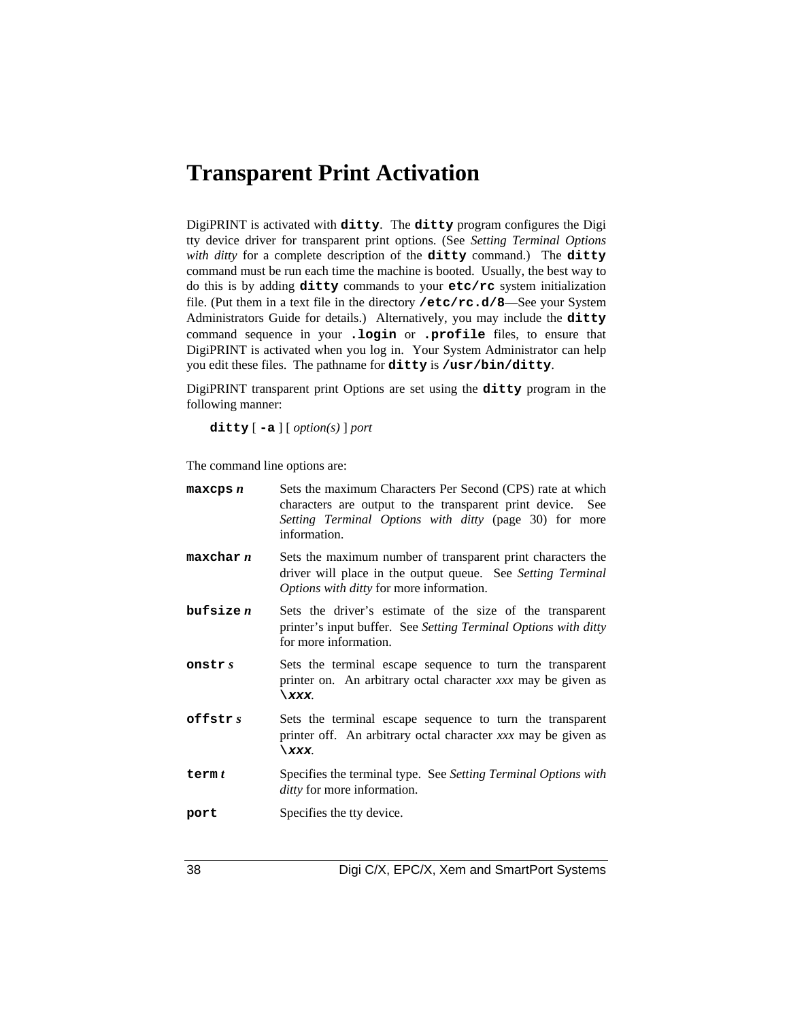### **Transparent Print Activation**

DigiPRINT is activated with **ditty**. The **ditty** program configures the Digi tty device driver for transparent print options. (See *Setting Terminal Options with ditty* for a complete description of the **ditty** command.) The **ditty** command must be run each time the machine is booted. Usually, the best way to do this is by adding **ditty** commands to your **etc/rc** system initialization file. (Put them in a text file in the directory **/etc/rc.d/8**—See your System Administrators Guide for details.) Alternatively, you may include the **ditty** command sequence in your **.login** or **.profile** files, to ensure that DigiPRINT is activated when you log in. Your System Administrator can help you edit these files. The pathname for **ditty** is **/usr/bin/ditty**.

DigiPRINT transparent print Options are set using the **ditty** program in the following manner:

**ditty** [ **-a** ] [ *option(s)* ] *port*

The command line options are:

| $max$ cps $n$ | Sets the maximum Characters Per Second (CPS) rate at which<br>characters are output to the transparent print device. See<br>Setting Terminal Options with ditty (page 30) for more<br>information. |
|---------------|----------------------------------------------------------------------------------------------------------------------------------------------------------------------------------------------------|
| maxchar n     | Sets the maximum number of transparent print characters the<br>driver will place in the output queue. See Setting Terminal<br>Options with ditty for more information.                             |
| but size n    | Sets the driver's estimate of the size of the transparent<br>printer's input buffer. See Setting Terminal Options with ditty<br>for more information.                                              |
| onstr s       | Sets the terminal escape sequence to turn the transparent<br>printer on. An arbitrary octal character xxx may be given as<br>\xxx.                                                                 |
| offstr $s$    | Sets the terminal escape sequence to turn the transparent<br>printer off. An arbitrary octal character xxx may be given as<br>\xxx.                                                                |
| term $t$      | Specifies the terminal type. See Setting Terminal Options with<br><i>ditty</i> for more information.                                                                                               |
| port          | Specifies the tty device.                                                                                                                                                                          |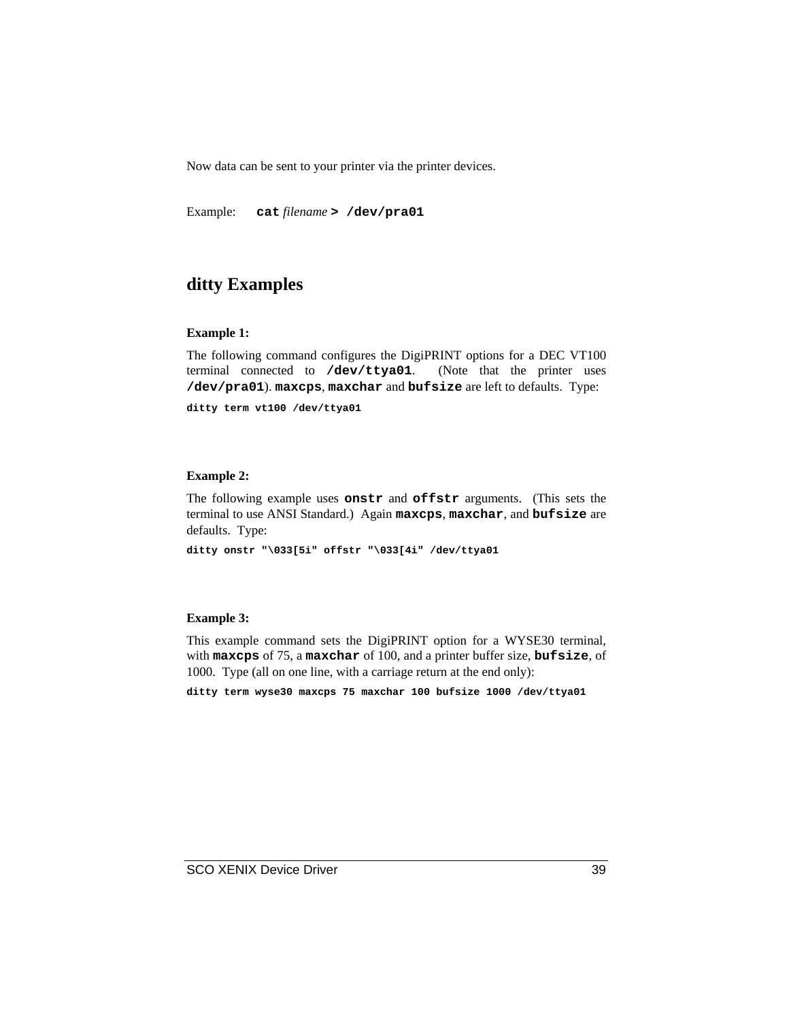Now data can be sent to your printer via the printer devices.

Example: **cat** *filename* **> /dev/pra01**

### **ditty Examples**

### **Example 1:**

The following command configures the DigiPRINT options for a DEC VT100 terminal connected to **/dev/ttya01**. (Note that the printer uses **/dev/pra01**). **maxcps**, **maxchar** and **bufsize** are left to defaults. Type:

**ditty term vt100 /dev/ttya01**

### **Example 2:**

The following example uses **onstr** and **offstr** arguments. (This sets the terminal to use ANSI Standard.) Again **maxcps**, **maxchar**, and **bufsize** are defaults. Type:

**ditty onstr "\033[5i" offstr "\033[4i" /dev/ttya01**

#### **Example 3:**

This example command sets the DigiPRINT option for a WYSE30 terminal, with **maxcps** of 75, a **maxchar** of 100, and a printer buffer size, **bufsize**, of 1000. Type (all on one line, with a carriage return at the end only):

**ditty term wyse30 maxcps 75 maxchar 100 bufsize 1000 /dev/ttya01**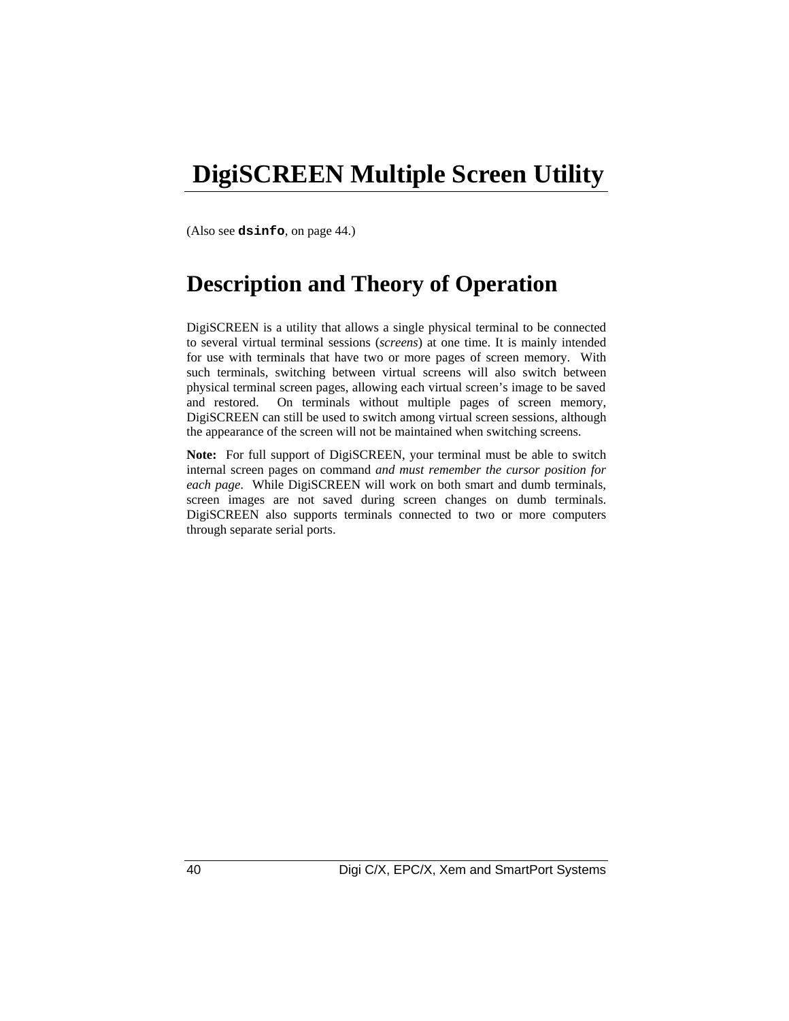### **DigiSCREEN Multiple Screen Utility**

(Also see **dsinfo**, on page 44.)

### **Description and Theory of Operation**

DigiSCREEN is a utility that allows a single physical terminal to be connected to several virtual terminal sessions (*screens*) at one time. It is mainly intended for use with terminals that have two or more pages of screen memory. With such terminals, switching between virtual screens will also switch between physical terminal screen pages, allowing each virtual screen's image to be saved and restored. On terminals without multiple pages of screen memory, DigiSCREEN can still be used to switch among virtual screen sessions, although the appearance of the screen will not be maintained when switching screens.

**Note:** For full support of DigiSCREEN, your terminal must be able to switch internal screen pages on command *and must remember the cursor position for each page*. While DigiSCREEN will work on both smart and dumb terminals, screen images are not saved during screen changes on dumb terminals. DigiSCREEN also supports terminals connected to two or more computers through separate serial ports.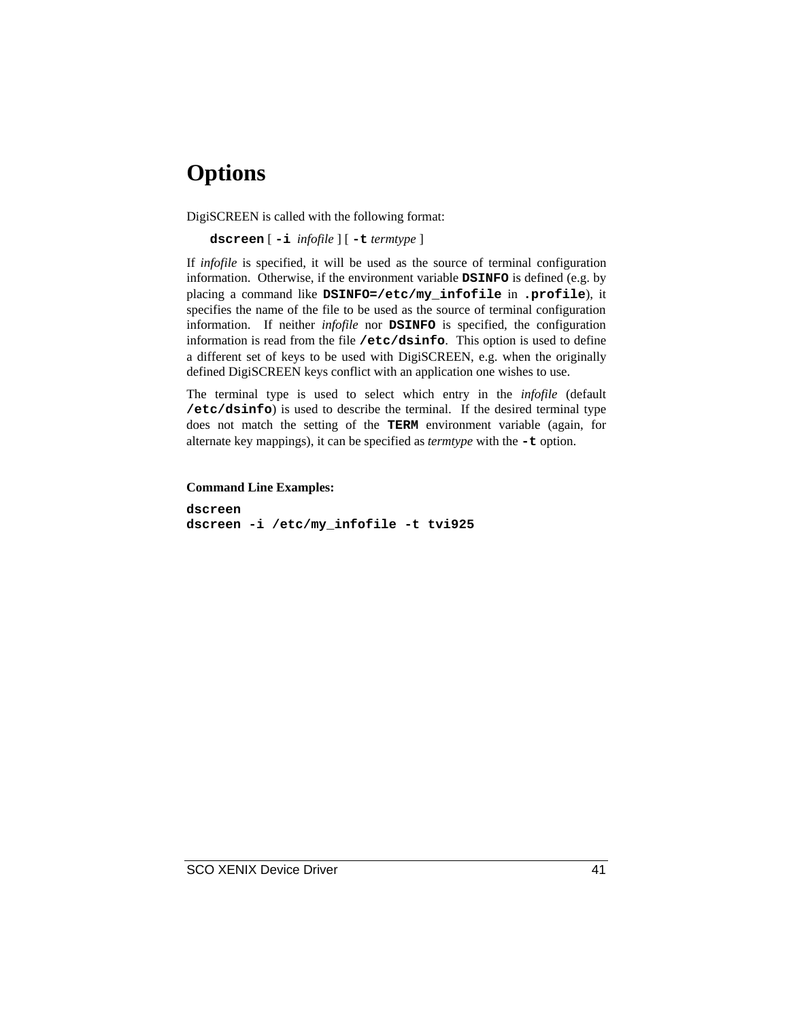### **Options**

DigiSCREEN is called with the following format:

**dscreen** [ **-i** *infofile* ] [ **-t** *termtype* ]

If *infofile* is specified, it will be used as the source of terminal configuration information. Otherwise, if the environment variable **DSINFO** is defined (e.g. by placing a command like **DSINFO=/etc/my\_infofile** in **.profile**), it specifies the name of the file to be used as the source of terminal configuration information. If neither *infofile* nor **DSINFO** is specified, the configuration information is read from the file **/etc/dsinfo**. This option is used to define a different set of keys to be used with DigiSCREEN, e.g. when the originally defined DigiSCREEN keys conflict with an application one wishes to use.

The terminal type is used to select which entry in the *infofile* (default **/etc/dsinfo**) is used to describe the terminal. If the desired terminal type does not match the setting of the **TERM** environment variable (again, for alternate key mappings), it can be specified as *termtype* with the **-t** option.

**Command Line Examples:**

**dscreen dscreen -i /etc/my\_infofile -t tvi925**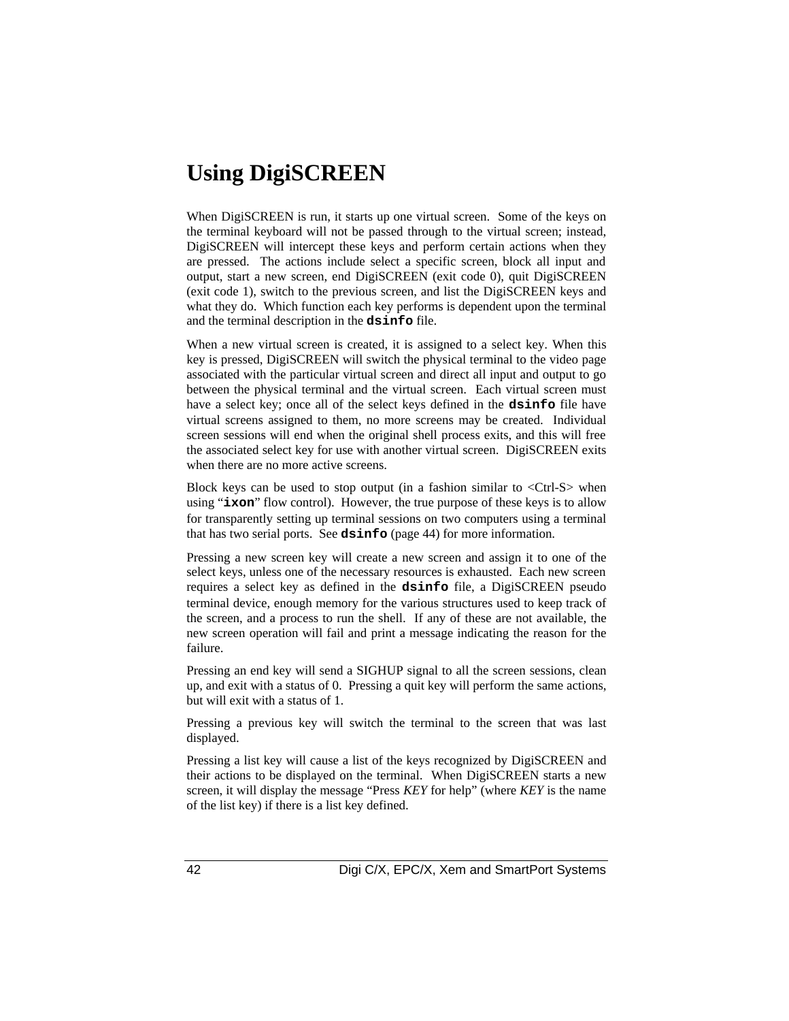### **Using DigiSCREEN**

When DigiSCREEN is run, it starts up one virtual screen. Some of the keys on the terminal keyboard will not be passed through to the virtual screen; instead, DigiSCREEN will intercept these keys and perform certain actions when they are pressed. The actions include select a specific screen, block all input and output, start a new screen, end DigiSCREEN (exit code 0), quit DigiSCREEN (exit code 1), switch to the previous screen, and list the DigiSCREEN keys and what they do. Which function each key performs is dependent upon the terminal and the terminal description in the **dsinfo** file.

When a new virtual screen is created, it is assigned to a select key. When this key is pressed, DigiSCREEN will switch the physical terminal to the video page associated with the particular virtual screen and direct all input and output to go between the physical terminal and the virtual screen. Each virtual screen must have a select key; once all of the select keys defined in the **dsinfo** file have virtual screens assigned to them, no more screens may be created. Individual screen sessions will end when the original shell process exits, and this will free the associated select key for use with another virtual screen. DigiSCREEN exits when there are no more active screens.

Block keys can be used to stop output (in a fashion similar to  $\langle$ Ctrl-S $>$  when using "**ixon**" flow control). However, the true purpose of these keys is to allow for transparently setting up terminal sessions on two computers using a terminal that has two serial ports. See **dsinfo** (page 44) for more information.

Pressing a new screen key will create a new screen and assign it to one of the select keys, unless one of the necessary resources is exhausted. Each new screen requires a select key as defined in the **dsinfo** file, a DigiSCREEN pseudo terminal device, enough memory for the various structures used to keep track of the screen, and a process to run the shell. If any of these are not available, the new screen operation will fail and print a message indicating the reason for the failure.

Pressing an end key will send a SIGHUP signal to all the screen sessions, clean up, and exit with a status of 0. Pressing a quit key will perform the same actions, but will exit with a status of 1.

Pressing a previous key will switch the terminal to the screen that was last displayed.

Pressing a list key will cause a list of the keys recognized by DigiSCREEN and their actions to be displayed on the terminal. When DigiSCREEN starts a new screen, it will display the message "Press *KEY* for help" (where *KEY* is the name of the list key) if there is a list key defined.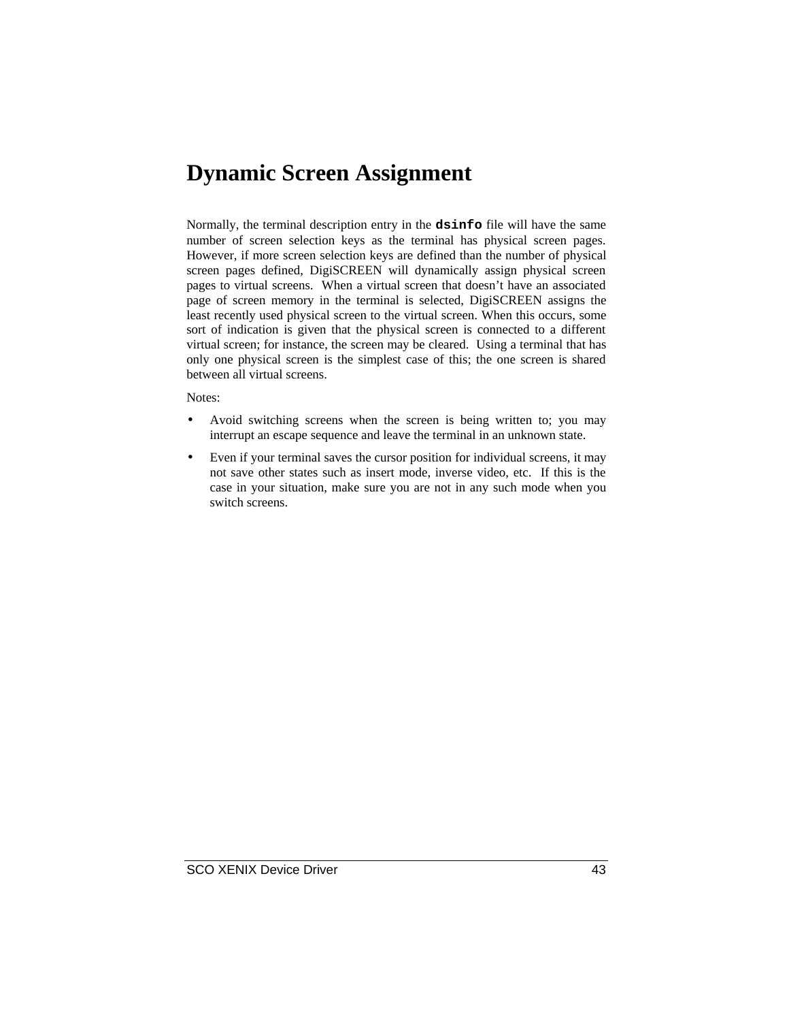### **Dynamic Screen Assignment**

Normally, the terminal description entry in the **dsinfo** file will have the same number of screen selection keys as the terminal has physical screen pages. However, if more screen selection keys are defined than the number of physical screen pages defined, DigiSCREEN will dynamically assign physical screen pages to virtual screens. When a virtual screen that doesn't have an associated page of screen memory in the terminal is selected, DigiSCREEN assigns the least recently used physical screen to the virtual screen. When this occurs, some sort of indication is given that the physical screen is connected to a different virtual screen; for instance, the screen may be cleared. Using a terminal that has only one physical screen is the simplest case of this; the one screen is shared between all virtual screens.

Notes:

- Avoid switching screens when the screen is being written to; you may interrupt an escape sequence and leave the terminal in an unknown state.
- Even if your terminal saves the cursor position for individual screens, it may not save other states such as insert mode, inverse video, etc. If this is the case in your situation, make sure you are not in any such mode when you switch screens.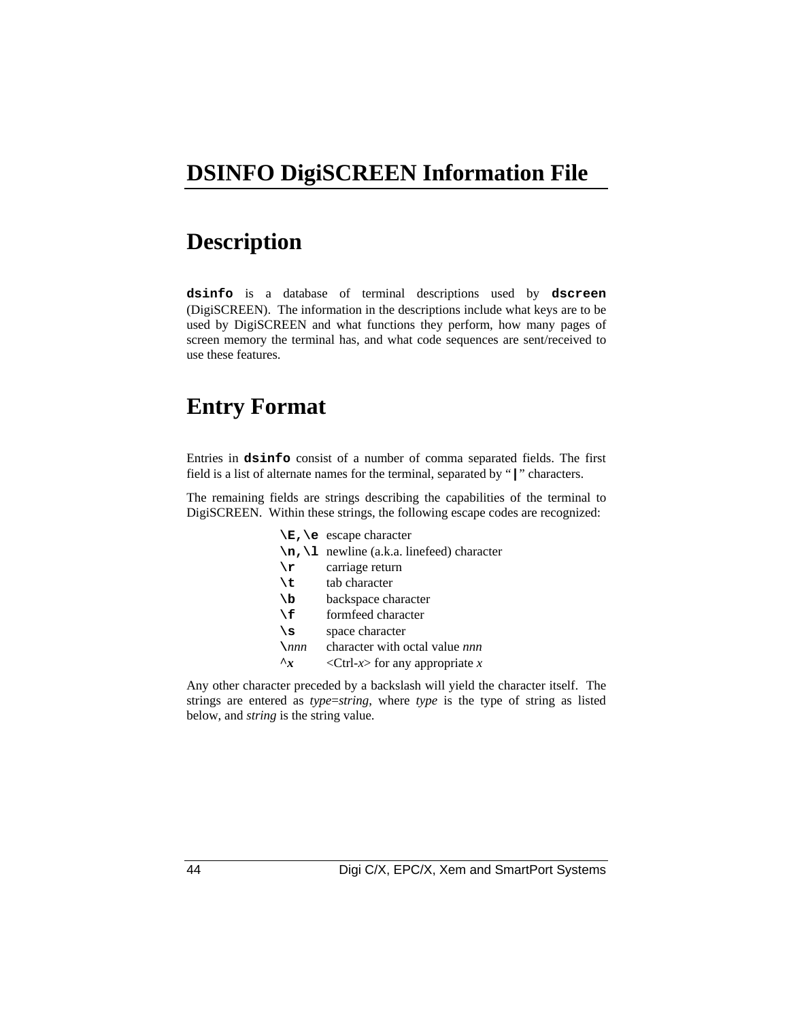### **DSINFO DigiSCREEN Information File**

### **Description**

**dsinfo** is a database of terminal descriptions used by **dscreen** (DigiSCREEN). The information in the descriptions include what keys are to be used by DigiSCREEN and what functions they perform, how many pages of screen memory the terminal has, and what code sequences are sent/received to use these features.

### **Entry Format**

Entries in **dsinfo** consist of a number of comma separated fields. The first field is a list of alternate names for the terminal, separated by "**|**" characters.

The remaining fields are strings describing the capabilities of the terminal to DigiSCREEN. Within these strings, the following escape codes are recognized:

|              | $\mathbb{E}$ , $\mathbb{E}$ escape character                |  |
|--------------|-------------------------------------------------------------|--|
|              | $\n\lambda$ , $\lambda$ newline (a.k.a. linefeed) character |  |
| \r           | carriage return                                             |  |
| ١t           | tab character                                               |  |
| ١b           | backspace character                                         |  |
| ١f           | formfeed character                                          |  |
| ۱s           | space character                                             |  |
| $\sum$       | character with octal value nnn                              |  |
| $\mathbf{r}$ | <ctrl-x> for any appropriate x</ctrl-x>                     |  |
|              |                                                             |  |

Any other character preceded by a backslash will yield the character itself. The strings are entered as *type*=*string*, where *type* is the type of string as listed below, and *string* is the string value.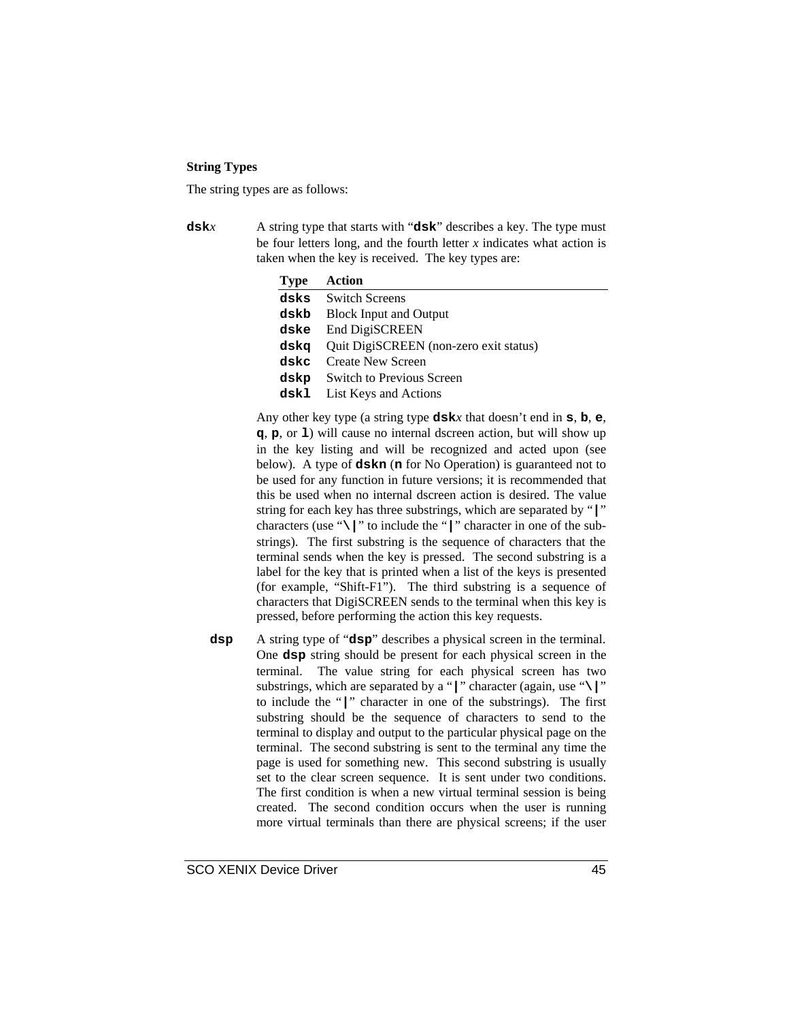### **String Types**

The string types are as follows:

**dsk***x* A string type that starts with "**dsk**" describes a key. The type must be four letters long, and the fourth letter  $x$  indicates what action is taken when the key is received. The key types are:

| <b>Type</b> | Action                                      |
|-------------|---------------------------------------------|
|             | dsks Switch Screens                         |
| dskb        | <b>Block Input and Output</b>               |
| dske        | End DigiSCREEN                              |
|             | dskq Quit DigiSCREEN (non-zero exit status) |
| dskc        | Create New Screen                           |
| dskp        | <b>Switch to Previous Screen</b>            |
| dskl        | List Keys and Actions                       |

Any other key type (a string type **dsk***x* that doesn't end in **s**, **b**, **e**, **q**, **p**, or **l**) will cause no internal dscreen action, but will show up in the key listing and will be recognized and acted upon (see below). A type of **dskn** (**n** for No Operation) is guaranteed not to be used for any function in future versions; it is recommended that this be used when no internal dscreen action is desired. The value string for each key has three substrings, which are separated by "**|**" characters (use "**\|**" to include the "**|**" character in one of the substrings). The first substring is the sequence of characters that the terminal sends when the key is pressed. The second substring is a label for the key that is printed when a list of the keys is presented (for example, "Shift-F1"). The third substring is a sequence of characters that DigiSCREEN sends to the terminal when this key is pressed, before performing the action this key requests.

**dsp** A string type of "**dsp**" describes a physical screen in the terminal. One **dsp** string should be present for each physical screen in the terminal. The value string for each physical screen has two substrings, which are separated by a "**|**" character (again, use "**\|**" to include the "**|**" character in one of the substrings). The first substring should be the sequence of characters to send to the terminal to display and output to the particular physical page on the terminal. The second substring is sent to the terminal any time the page is used for something new. This second substring is usually set to the clear screen sequence. It is sent under two conditions. The first condition is when a new virtual terminal session is being created. The second condition occurs when the user is running more virtual terminals than there are physical screens; if the user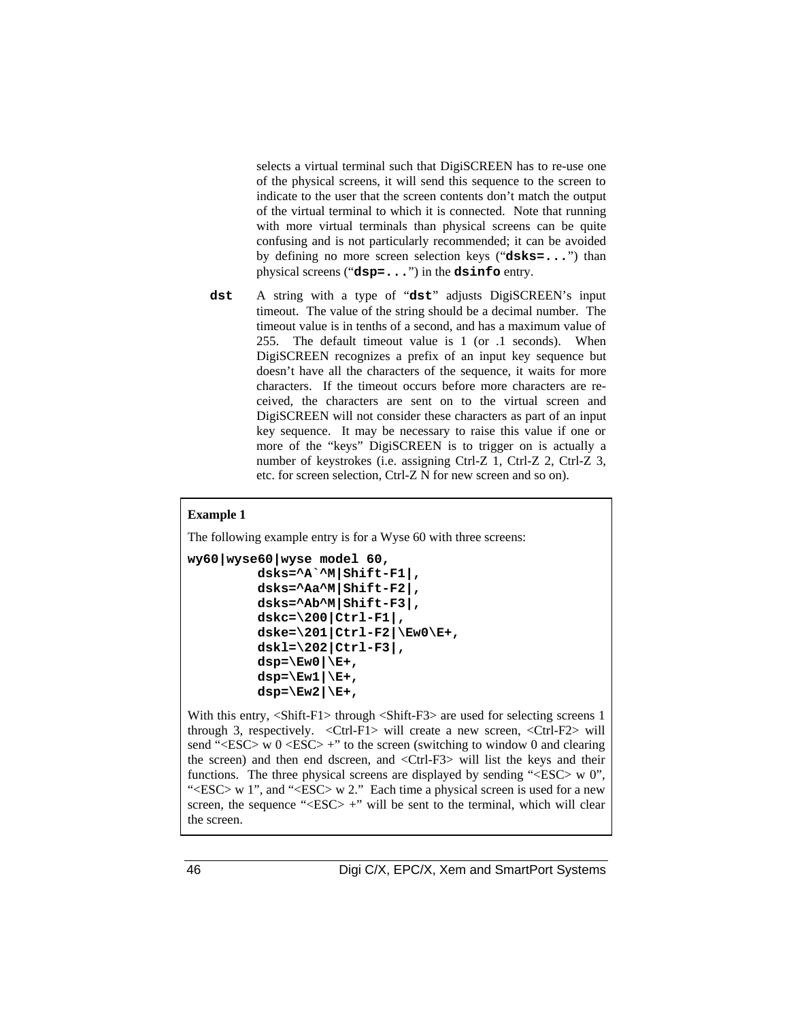selects a virtual terminal such that DigiSCREEN has to re-use one of the physical screens, it will send this sequence to the screen to indicate to the user that the screen contents don't match the output of the virtual terminal to which it is connected. Note that running with more virtual terminals than physical screens can be quite confusing and is not particularly recommended; it can be avoided by defining no more screen selection keys ("**dsks=...**") than physical screens ("**dsp=...**") in the **dsinfo** entry.

**dst** A string with a type of "**dst**" adjusts DigiSCREEN's input timeout. The value of the string should be a decimal number. The timeout value is in tenths of a second, and has a maximum value of 255. The default timeout value is 1 (or .1 seconds). When DigiSCREEN recognizes a prefix of an input key sequence but doesn't have all the characters of the sequence, it waits for more characters. If the timeout occurs before more characters are received, the characters are sent on to the virtual screen and DigiSCREEN will not consider these characters as part of an input key sequence. It may be necessary to raise this value if one or more of the "keys" DigiSCREEN is to trigger on is actually a number of keystrokes (i.e. assigning Ctrl-Z 1, Ctrl-Z 2, Ctrl-Z 3, etc. for screen selection, Ctrl-Z N for new screen and so on).

#### **Example 1**

The following example entry is for a Wyse 60 with three screens:

```
wy60|wyse60|wyse model 60,
          dsks=^A`^M|Shift-F1|,
          dsks=^Aa^M|Shift-F2|,
          dsks=^Ab^M|Shift-F3|,
          dskc=\200|Ctrl-F1|,
          dske=\201|Ctrl-F2|\Ew0\E+,
          dskl=\202|Ctrl-F3|,
          dsp=\Ew0|\E+,
         dsp=\E{w1|\E{+},
         dsp=\Ew2|\E+,
```
With this entry, <Shift-F1> through <Shift-F3> are used for selecting screens 1 through 3, respectively. <Ctrl-F1> will create a new screen, <Ctrl-F2> will send " $\langle ESC \rangle$  w 0  $\langle ESC \rangle$  +" to the screen (switching to window 0 and clearing the screen) and then end dscreen, and <Ctrl-F3> will list the keys and their functions. The three physical screens are displayed by sending "<ESC> w 0", "<ESC> w 1", and "<ESC> w 2." Each time a physical screen is used for a new screen, the sequence " $<$ ESC $>$  +" will be sent to the terminal, which will clear the screen.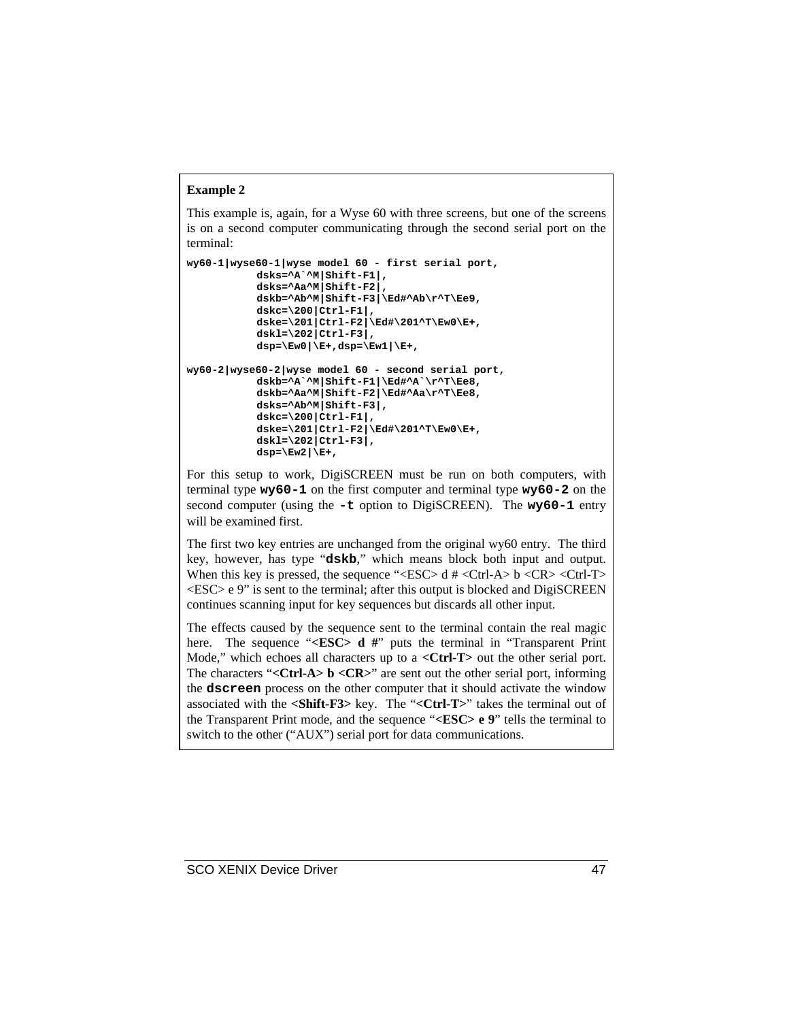### **Example 2**

This example is, again, for a Wyse 60 with three screens, but one of the screens is on a second computer communicating through the second serial port on the terminal:

```
wy60-1|wyse60-1|wyse model 60 - first serial port,
           dsks=^A`^M|Shift-F1|,
           dsks=^Aa^M|Shift-F2|,
           dskb=^Ab^M|Shift-F3|\Ed#^Ab\r^T\Ee9,
           dskc=\200|Ctrl-F1|,
           dske=\201|Ctrl-F2|\Ed#\201^T\Ew0\E+,
           dskl=\202|Ctrl-F3|,
           dsp=\Ew0|\E+,dsp=\Ew1|\E+,
wy60-2|wyse60-2|wyse model 60 - second serial port,
           dskb=^A`^M|Shift-F1|\Ed#^A`\r^T\Ee8,
           dskb=^Aa^M|Shift-F2|\Ed#^Aa\r^T\Ee8,
           dsks=^Ab^M|Shift-F3|,
           dskc=\200|Ctrl-F1|,
           dske=\201|Ctrl-F2|\Ed#\201^T\Ew0\E+,
           dskl=\202|Ctrl-F3|,
           dsp=\Ew2|\E+,
```
For this setup to work, DigiSCREEN must be run on both computers, with terminal type **wy60-1** on the first computer and terminal type **wy60-2** on the second computer (using the **-t** option to DigiSCREEN). The **wy60-1** entry will be examined first.

The first two key entries are unchanged from the original wy60 entry. The third key, however, has type "**dskb**," which means block both input and output. When this key is pressed, the sequence "<BSC> d  $#$  <Ctrl-A> b <CR> <Ctrl-T>  $\langle ESC \rangle$  e 9" is sent to the terminal; after this output is blocked and DigiSCREEN continues scanning input for key sequences but discards all other input.

The effects caused by the sequence sent to the terminal contain the real magic here. The sequence "**<ESC> d** #" puts the terminal in "Transparent Print" Mode," which echoes all characters up to a **<Ctrl-T>** out the other serial port. The characters "**<Ctrl-A> b <CR>**" are sent out the other serial port, informing the **dscreen** process on the other computer that it should activate the window associated with the **<Shift-F3>** key. The "**<Ctrl-T>**" takes the terminal out of the Transparent Print mode, and the sequence "**<ESC> e 9**" tells the terminal to switch to the other ("AUX") serial port for data communications.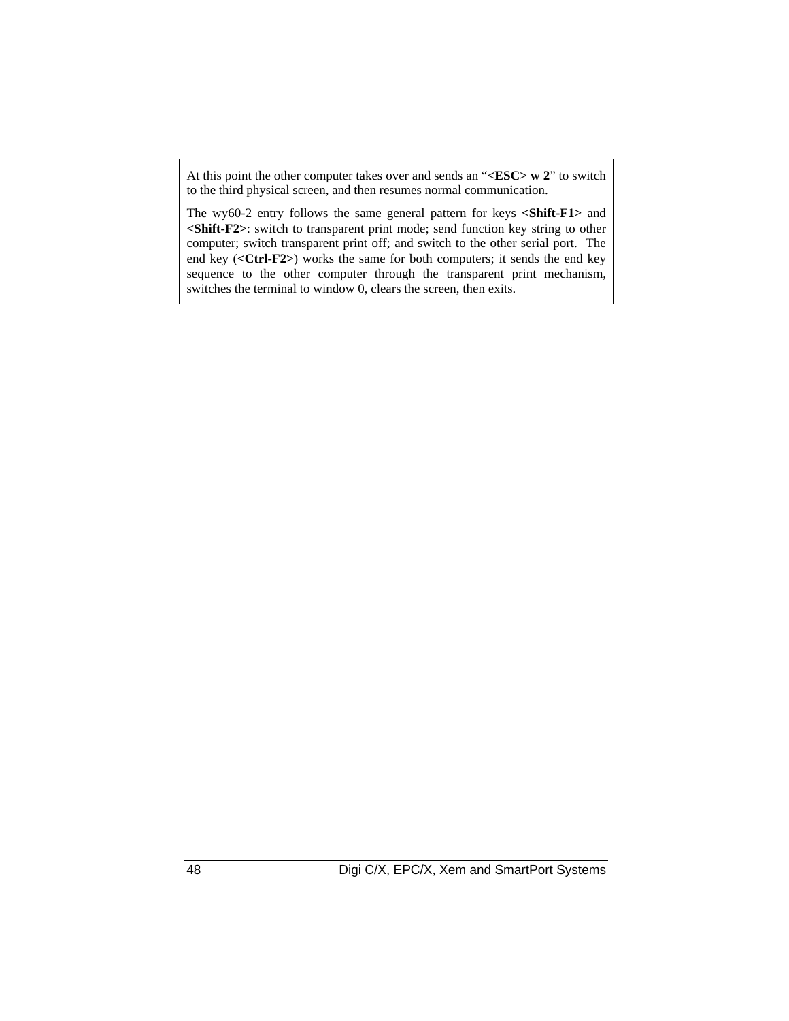At this point the other computer takes over and sends an "**<ESC> w 2**" to switch to the third physical screen, and then resumes normal communication.

The wy60-2 entry follows the same general pattern for keys **<Shift-F1>** and **<Shift-F2>**: switch to transparent print mode; send function key string to other computer; switch transparent print off; and switch to the other serial port. The end key (**<Ctrl-F2>**) works the same for both computers; it sends the end key sequence to the other computer through the transparent print mechanism, switches the terminal to window 0, clears the screen, then exits.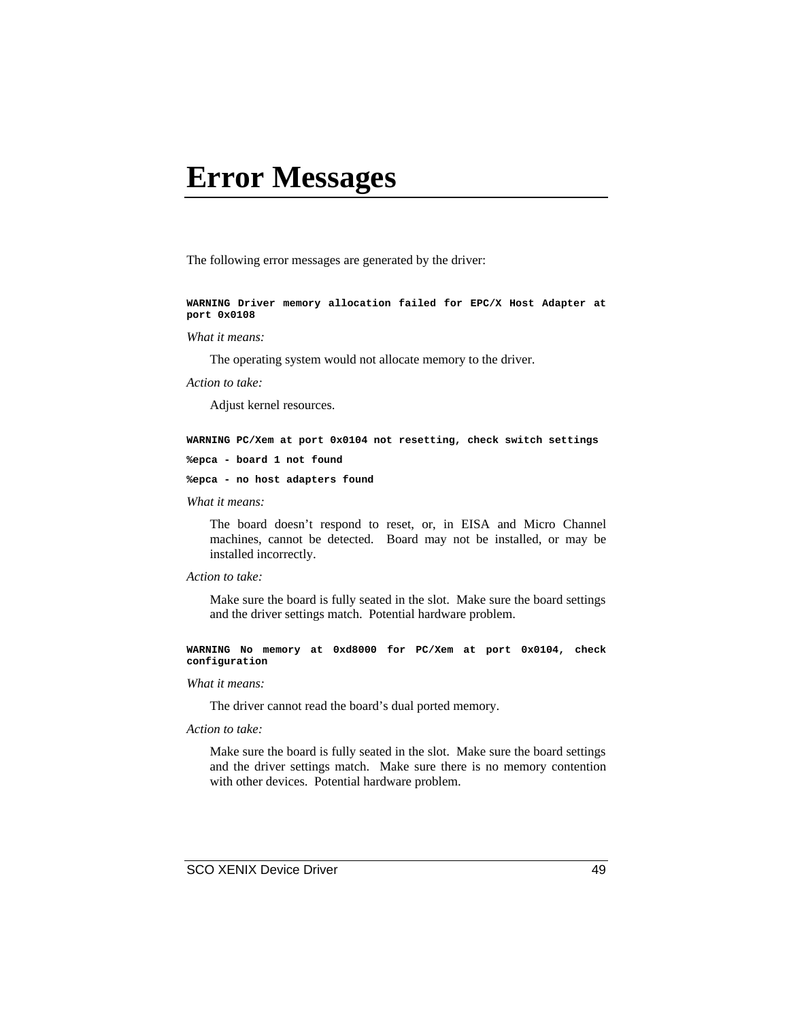### **Error Messages**

The following error messages are generated by the driver:

**WARNING Driver memory allocation failed for EPC/X Host Adapter at port 0x0108**

#### *What it means:*

The operating system would not allocate memory to the driver.

*Action to take:*

Adjust kernel resources.

**WARNING PC/Xem at port 0x0104 not resetting, check switch settings**

```
%epca - board 1 not found
```
**%epca - no host adapters found**

#### *What it means:*

The board doesn't respond to reset, or, in EISA and Micro Channel machines, cannot be detected. Board may not be installed, or may be installed incorrectly.

#### *Action to take:*

Make sure the board is fully seated in the slot. Make sure the board settings and the driver settings match. Potential hardware problem.

**WARNING No memory at 0xd8000 for PC/Xem at port 0x0104, check configuration**

#### *What it means:*

The driver cannot read the board's dual ported memory.

#### *Action to take:*

Make sure the board is fully seated in the slot. Make sure the board settings and the driver settings match. Make sure there is no memory contention with other devices. Potential hardware problem.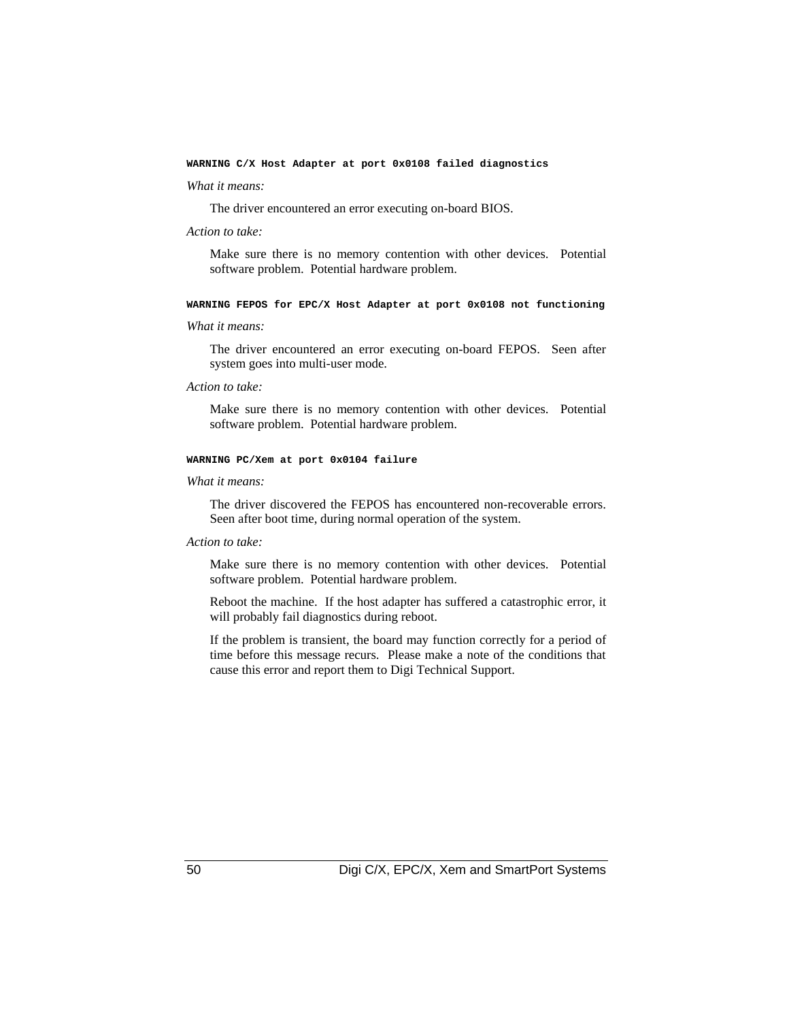#### **WARNING C/X Host Adapter at port 0x0108 failed diagnostics**

#### *What it means:*

The driver encountered an error executing on-board BIOS.

#### *Action to take:*

Make sure there is no memory contention with other devices. Potential software problem. Potential hardware problem.

#### **WARNING FEPOS for EPC/X Host Adapter at port 0x0108 not functioning**

#### *What it means:*

 The driver encountered an error executing on-board FEPOS. Seen after system goes into multi-user mode.

#### *Action to take:*

Make sure there is no memory contention with other devices. Potential software problem. Potential hardware problem.

#### **WARNING PC/Xem at port 0x0104 failure**

#### *What it means:*

The driver discovered the FEPOS has encountered non-recoverable errors. Seen after boot time, during normal operation of the system.

#### *Action to take:*

Make sure there is no memory contention with other devices. Potential software problem. Potential hardware problem.

Reboot the machine. If the host adapter has suffered a catastrophic error, it will probably fail diagnostics during reboot.

If the problem is transient, the board may function correctly for a period of time before this message recurs. Please make a note of the conditions that cause this error and report them to Digi Technical Support.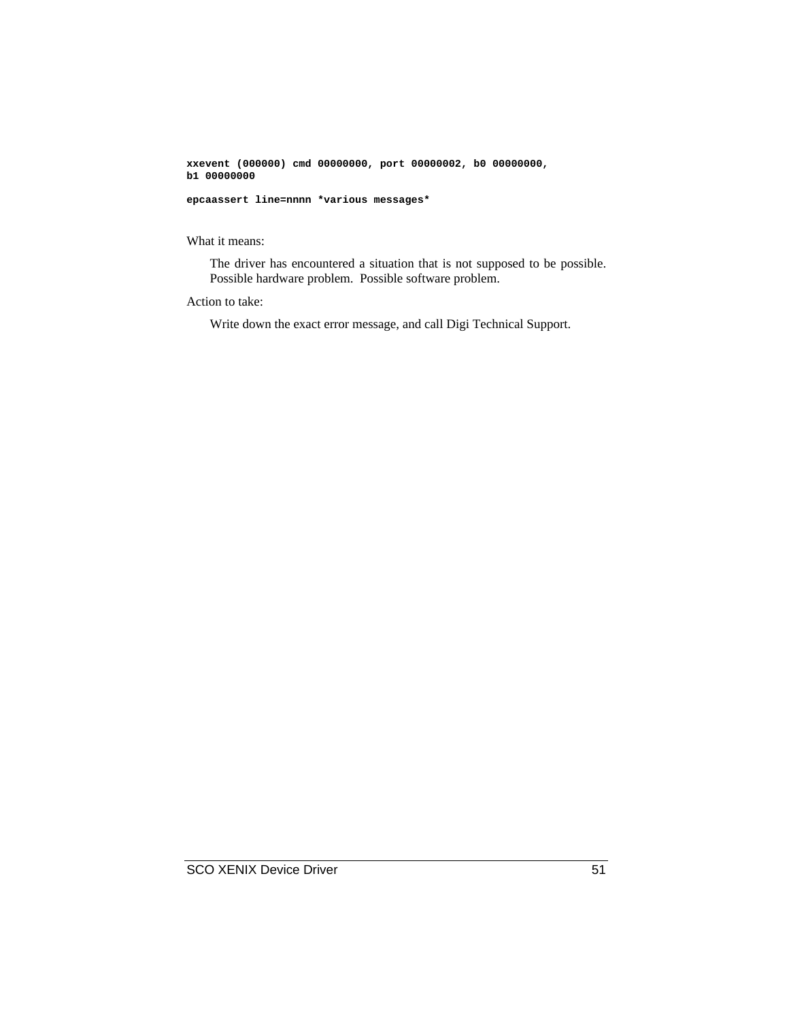**xxevent (000000) cmd 00000000, port 00000002, b0 00000000, b1 00000000**

**epcaassert line=nnnn \*various messages\***

What it means:

The driver has encountered a situation that is not supposed to be possible. Possible hardware problem. Possible software problem.

Action to take:

Write down the exact error message, and call Digi Technical Support.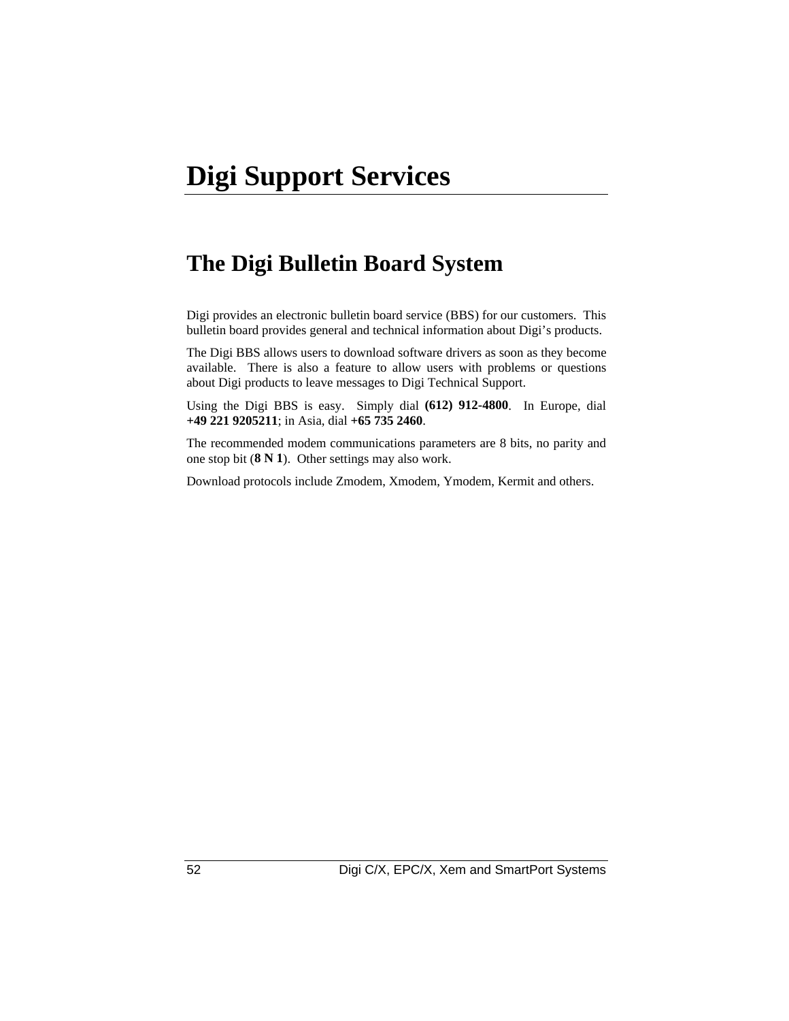### **The Digi Bulletin Board System**

Digi provides an electronic bulletin board service (BBS) for our customers. This bulletin board provides general and technical information about Digi's products.

The Digi BBS allows users to download software drivers as soon as they become available. There is also a feature to allow users with problems or questions about Digi products to leave messages to Digi Technical Support.

Using the Digi BBS is easy. Simply dial **(612) 912-4800**. In Europe, dial **+49 221 9205211**; in Asia, dial **+65 735 2460**.

The recommended modem communications parameters are 8 bits, no parity and one stop bit (**8 N 1**). Other settings may also work.

Download protocols include Zmodem, Xmodem, Ymodem, Kermit and others.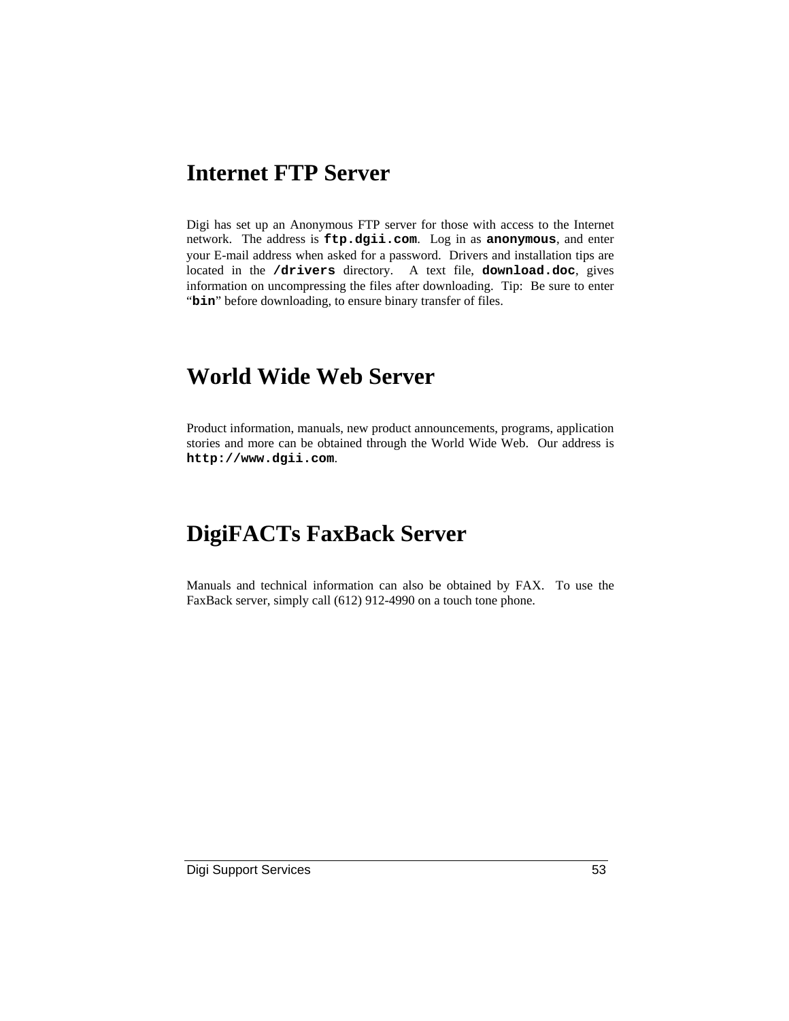### **Internet FTP Server**

Digi has set up an Anonymous FTP server for those with access to the Internet network. The address is **ftp.dgii.com**. Log in as **anonymous**, and enter your E-mail address when asked for a password. Drivers and installation tips are located in the **/drivers** directory. A text file, **download.doc**, gives information on uncompressing the files after downloading. Tip: Be sure to enter "bin" before downloading, to ensure binary transfer of files.

### **World Wide Web Server**

Product information, manuals, new product announcements, programs, application stories and more can be obtained through the World Wide Web. Our address is **http://www.dgii.com**.

### **DigiFACTs FaxBack Server**

Manuals and technical information can also be obtained by FAX. To use the FaxBack server, simply call (612) 912-4990 on a touch tone phone.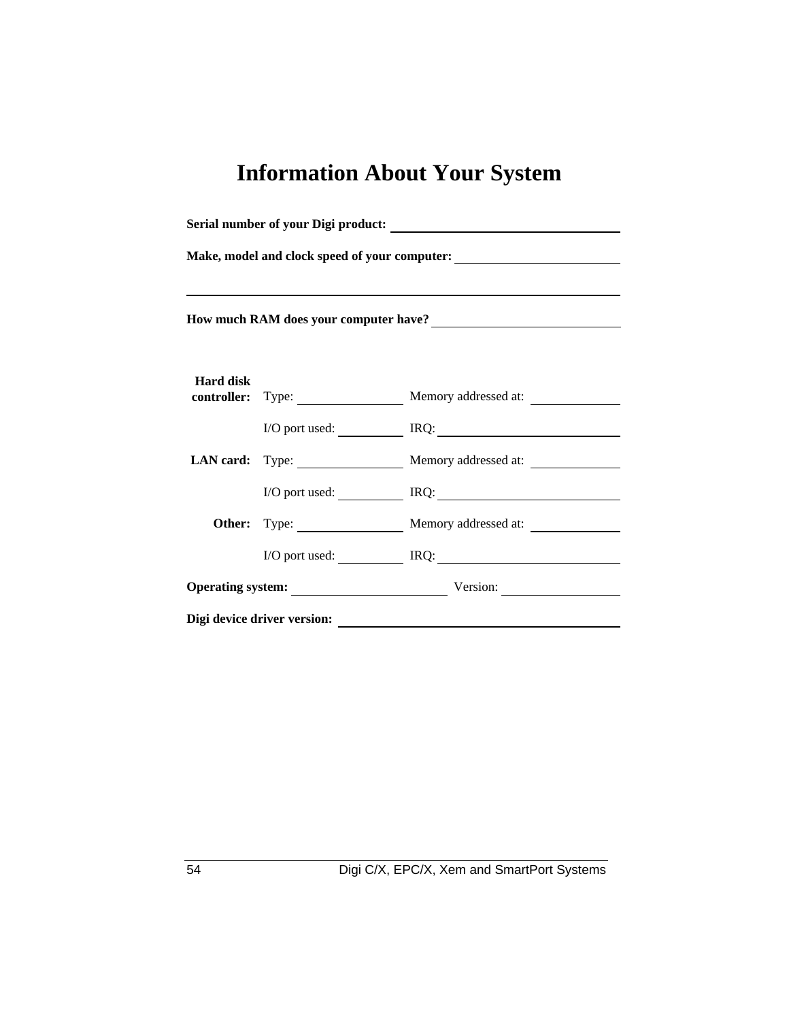## **Information About Your System**

| Make, model and clock speed of your computer:<br><u>Letting and the speed of your computer:</u><br>How much RAM does your computer have?<br><u>Letting and the set of the set of the set of the set of the set of the set of the set of the set of the set of the set of the set of the set of the set of the set of the set of the s</u> |                             |                                      |  |  |  |                  |  |                                        |  |
|-------------------------------------------------------------------------------------------------------------------------------------------------------------------------------------------------------------------------------------------------------------------------------------------------------------------------------------------|-----------------------------|--------------------------------------|--|--|--|------------------|--|----------------------------------------|--|
|                                                                                                                                                                                                                                                                                                                                           |                             |                                      |  |  |  | <b>Hard disk</b> |  | controller: Type: Memory addressed at: |  |
|                                                                                                                                                                                                                                                                                                                                           |                             |                                      |  |  |  |                  |  | I/O port used: IRQ: IRQ:               |  |
|                                                                                                                                                                                                                                                                                                                                           |                             | LAN card: Type: Memory addressed at: |  |  |  |                  |  |                                        |  |
|                                                                                                                                                                                                                                                                                                                                           |                             | I/O port used: IRQ: IRQ:             |  |  |  |                  |  |                                        |  |
|                                                                                                                                                                                                                                                                                                                                           |                             | Other: Type: Memory addressed at:    |  |  |  |                  |  |                                        |  |
|                                                                                                                                                                                                                                                                                                                                           |                             | $I/O$ port used: $IRQ$ :             |  |  |  |                  |  |                                        |  |
|                                                                                                                                                                                                                                                                                                                                           |                             | Operating system: Version: Version:  |  |  |  |                  |  |                                        |  |
|                                                                                                                                                                                                                                                                                                                                           | Digi device driver version: |                                      |  |  |  |                  |  |                                        |  |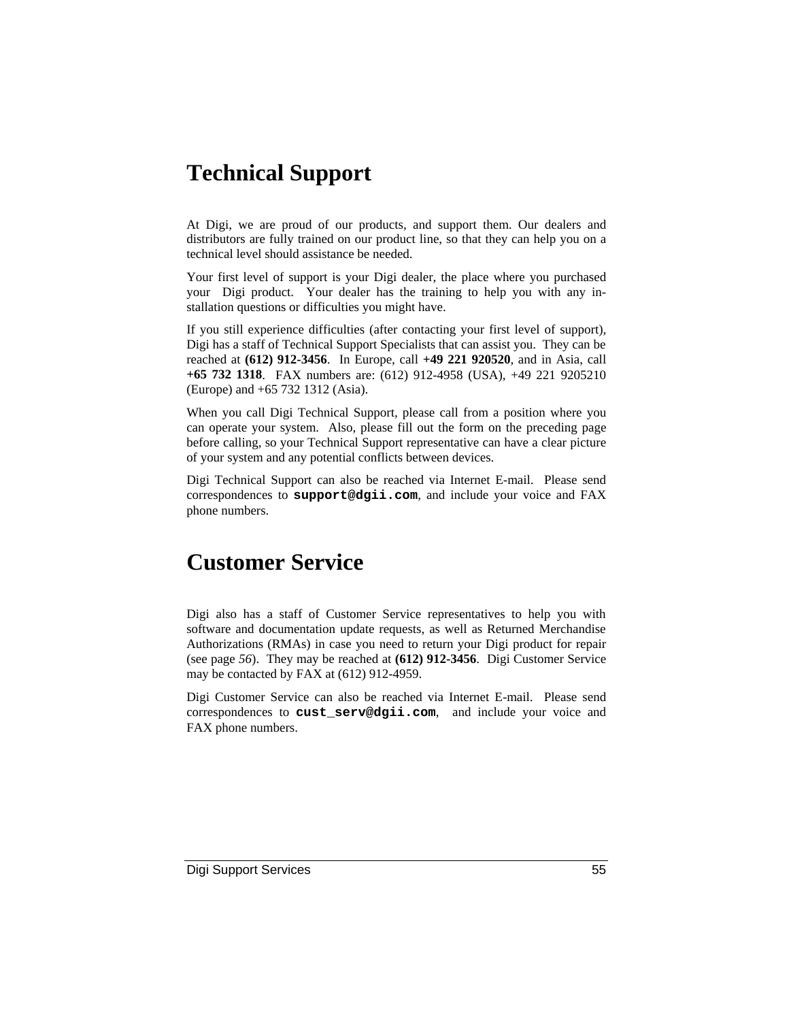### **Technical Support**

At Digi, we are proud of our products, and support them. Our dealers and distributors are fully trained on our product line, so that they can help you on a technical level should assistance be needed.

Your first level of support is your Digi dealer, the place where you purchased your Digi product. Your dealer has the training to help you with any installation questions or difficulties you might have.

If you still experience difficulties (after contacting your first level of support), Digi has a staff of Technical Support Specialists that can assist you. They can be reached at **(612) 912-3456**. In Europe, call **+49 221 920520**, and in Asia, call **+65 732 1318**. FAX numbers are: (612) 912-4958 (USA), +49 221 9205210 (Europe) and +65 732 1312 (Asia).

When you call Digi Technical Support, please call from a position where you can operate your system. Also, please fill out the form on the preceding page before calling, so your Technical Support representative can have a clear picture of your system and any potential conflicts between devices.

Digi Technical Support can also be reached via Internet E-mail. Please send correspondences to **support@dgii.com**, and include your voice and FAX phone numbers.

### **Customer Service**

Digi also has a staff of Customer Service representatives to help you with software and documentation update requests, as well as Returned Merchandise Authorizations (RMAs) in case you need to return your Digi product for repair (see page *56*). They may be reached at **(612) 912-3456**. Digi Customer Service may be contacted by FAX at (612) 912-4959.

Digi Customer Service can also be reached via Internet E-mail. Please send correspondences to **cust\_serv@dgii.com**, and include your voice and FAX phone numbers.